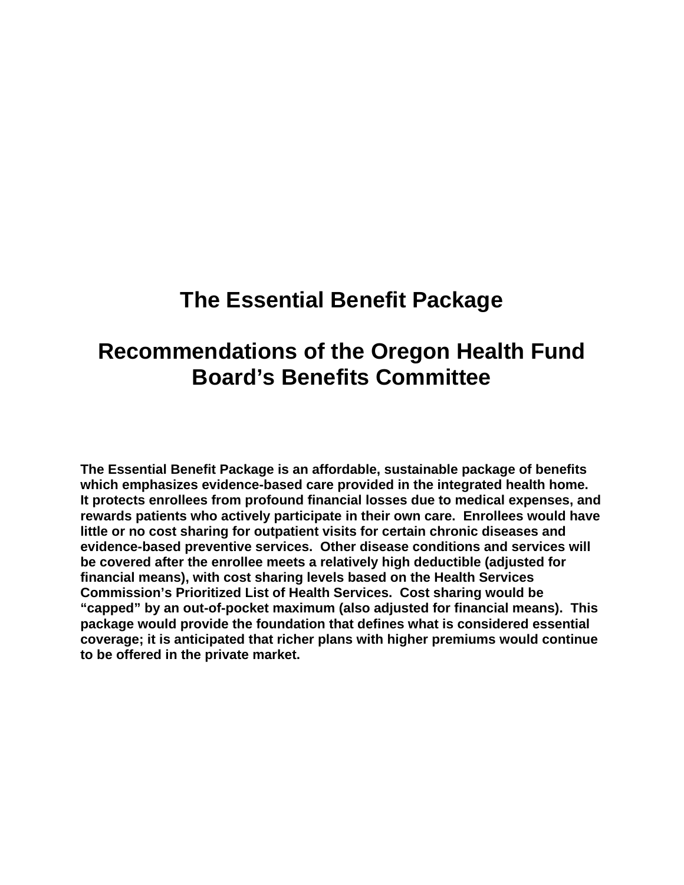# **The Essential Benefit Package**

# **Recommendations of the Oregon Health Fund Board's Benefits Committee**

**The Essential Benefit Package is an affordable, sustainable package of benefits which emphasizes evidence-based care provided in the integrated health home. It protects enrollees from profound financial losses due to medical expenses, and rewards patients who actively participate in their own care. Enrollees would have little or no cost sharing for outpatient visits for certain chronic diseases and evidence-based preventive services. Other disease conditions and services will be covered after the enrollee meets a relatively high deductible (adjusted for financial means), with cost sharing levels based on the Health Services Commission's Prioritized List of Health Services. Cost sharing would be "capped" by an out-of-pocket maximum (also adjusted for financial means). This package would provide the foundation that defines what is considered essential coverage; it is anticipated that richer plans with higher premiums would continue to be offered in the private market.**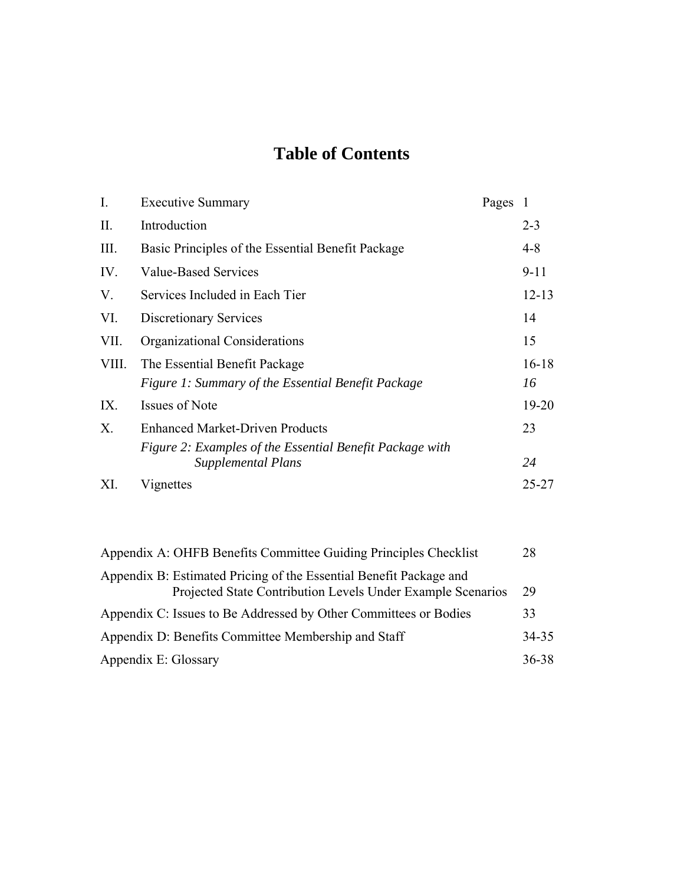# **Table of Contents**

| I.    | <b>Executive Summary</b>                                                              | Pages |           |
|-------|---------------------------------------------------------------------------------------|-------|-----------|
| II.   | Introduction                                                                          |       | $2 - 3$   |
| Ш.    | Basic Principles of the Essential Benefit Package                                     |       | 4-8       |
| IV.   | <b>Value-Based Services</b>                                                           |       | $9 - 11$  |
| V.    | Services Included in Each Tier                                                        |       | $12 - 13$ |
| VI.   | <b>Discretionary Services</b>                                                         |       | 14        |
| VII.  | Organizational Considerations                                                         |       | 15        |
| VIII. | The Essential Benefit Package                                                         |       | $16 - 18$ |
|       | Figure 1: Summary of the Essential Benefit Package                                    |       | 16        |
| IX.   | <b>Issues of Note</b>                                                                 |       | $19 - 20$ |
| Χ.    | <b>Enhanced Market-Driven Products</b>                                                |       | 23        |
|       | Figure 2: Examples of the Essential Benefit Package with<br><b>Supplemental Plans</b> |       | 24        |
| XI.   | Vignettes                                                                             |       | 25-27     |
|       |                                                                                       |       |           |

| Appendix A: OHFB Benefits Committee Guiding Principles Checklist                                                                  | 28    |
|-----------------------------------------------------------------------------------------------------------------------------------|-------|
| Appendix B: Estimated Pricing of the Essential Benefit Package and<br>Projected State Contribution Levels Under Example Scenarios | 29    |
| Appendix C: Issues to Be Addressed by Other Committees or Bodies                                                                  | 33    |
| Appendix D: Benefits Committee Membership and Staff                                                                               | 34-35 |
| Appendix E: Glossary                                                                                                              | 36-38 |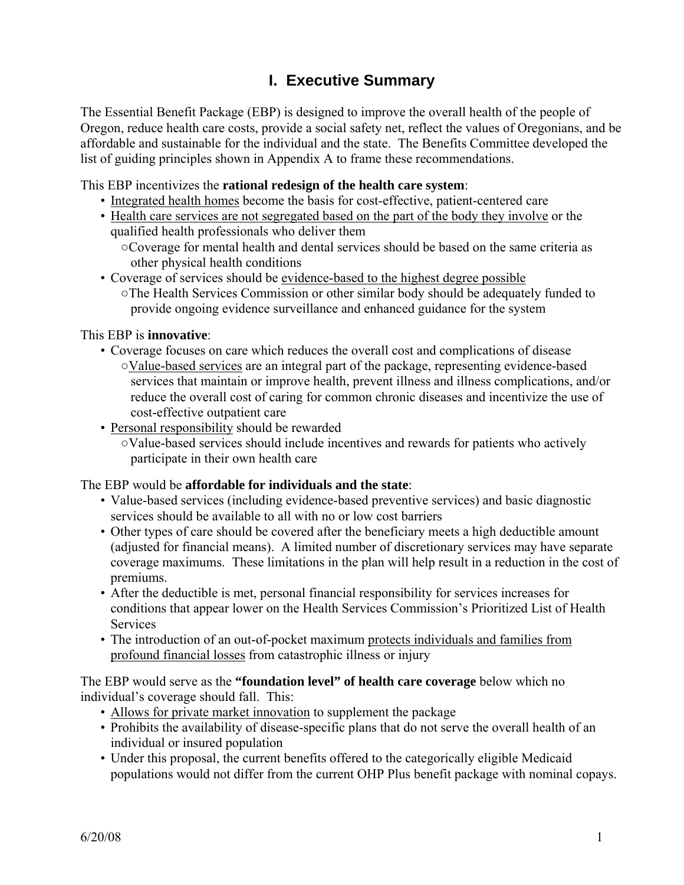### **I. Executive Summary**

The Essential Benefit Package (EBP) is designed to improve the overall health of the people of Oregon, reduce health care costs, provide a social safety net, reflect the values of Oregonians, and be affordable and sustainable for the individual and the state. The Benefits Committee developed the list of guiding principles shown in Appendix A to frame these recommendations.

This EBP incentivizes the **rational redesign of the health care system**:

- Integrated health homes become the basis for cost-effective, patient-centered care
- Health care services are not segregated based on the part of the body they involve or the qualified health professionals who deliver them
	- ○Coverage for mental health and dental services should be based on the same criteria as other physical health conditions
- Coverage of services should be evidence-based to the highest degree possible ○The Health Services Commission or other similar body should be adequately funded to provide ongoing evidence surveillance and enhanced guidance for the system

This EBP is **innovative**:

- Coverage focuses on care which reduces the overall cost and complications of disease ○Value-based services are an integral part of the package, representing evidence-based services that maintain or improve health, prevent illness and illness complications, and/or reduce the overall cost of caring for common chronic diseases and incentivize the use of cost-effective outpatient care
- Personal responsibility should be rewarded
	- ○Value-based services should include incentives and rewards for patients who actively participate in their own health care

The EBP would be **affordable for individuals and the state**:

- Value-based services (including evidence-based preventive services) and basic diagnostic services should be available to all with no or low cost barriers
- Other types of care should be covered after the beneficiary meets a high deductible amount (adjusted for financial means). A limited number of discretionary services may have separate coverage maximums. These limitations in the plan will help result in a reduction in the cost of premiums.
- After the deductible is met, personal financial responsibility for services increases for conditions that appear lower on the Health Services Commission's Prioritized List of Health **Services**
- The introduction of an out-of-pocket maximum protects individuals and families from profound financial losses from catastrophic illness or injury

The EBP would serve as the **"foundation level" of health care coverage** below which no individual's coverage should fall. This:

- Allows for private market innovation to supplement the package
- Prohibits the availability of disease-specific plans that do not serve the overall health of an individual or insured population
- Under this proposal, the current benefits offered to the categorically eligible Medicaid populations would not differ from the current OHP Plus benefit package with nominal copays.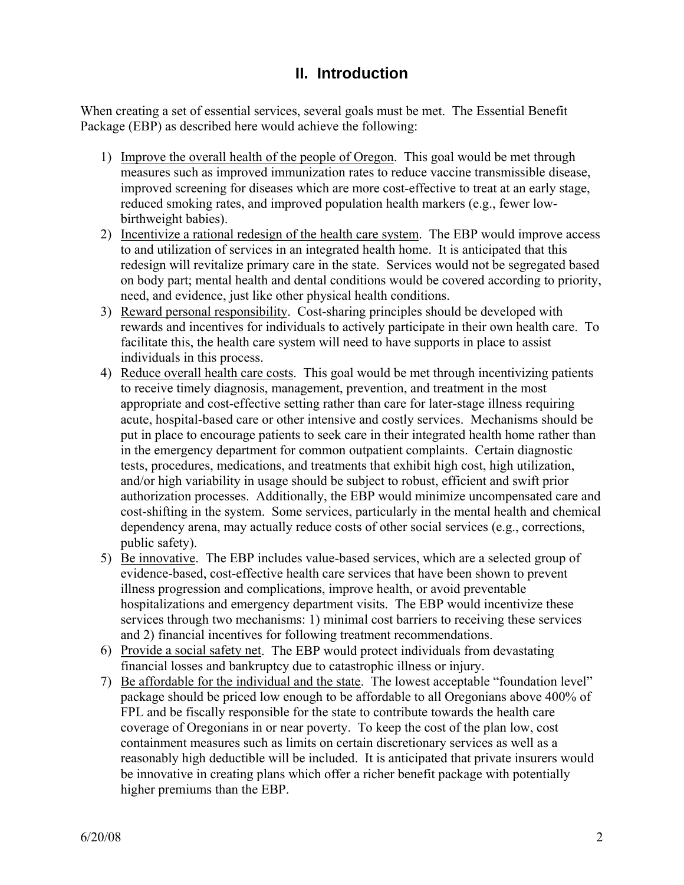### **II. Introduction**

When creating a set of essential services, several goals must be met. The Essential Benefit Package (EBP) as described here would achieve the following:

- 1) Improve the overall health of the people of Oregon. This goal would be met through measures such as improved immunization rates to reduce vaccine transmissible disease, improved screening for diseases which are more cost-effective to treat at an early stage, reduced smoking rates, and improved population health markers (e.g., fewer lowbirthweight babies).
- 2) Incentivize a rational redesign of the health care system. The EBP would improve access to and utilization of services in an integrated health home. It is anticipated that this redesign will revitalize primary care in the state. Services would not be segregated based on body part; mental health and dental conditions would be covered according to priority, need, and evidence, just like other physical health conditions.
- 3) Reward personal responsibility. Cost-sharing principles should be developed with rewards and incentives for individuals to actively participate in their own health care. To facilitate this, the health care system will need to have supports in place to assist individuals in this process.
- 4) Reduce overall health care costs. This goal would be met through incentivizing patients to receive timely diagnosis, management, prevention, and treatment in the most appropriate and cost-effective setting rather than care for later-stage illness requiring acute, hospital-based care or other intensive and costly services. Mechanisms should be put in place to encourage patients to seek care in their integrated health home rather than in the emergency department for common outpatient complaints. Certain diagnostic tests, procedures, medications, and treatments that exhibit high cost, high utilization, and/or high variability in usage should be subject to robust, efficient and swift prior authorization processes. Additionally, the EBP would minimize uncompensated care and cost-shifting in the system. Some services, particularly in the mental health and chemical dependency arena, may actually reduce costs of other social services (e.g., corrections, public safety).
- 5) Be innovative. The EBP includes value-based services, which are a selected group of evidence-based, cost-effective health care services that have been shown to prevent illness progression and complications, improve health, or avoid preventable hospitalizations and emergency department visits. The EBP would incentivize these services through two mechanisms: 1) minimal cost barriers to receiving these services and 2) financial incentives for following treatment recommendations.
- 6) Provide a social safety net. The EBP would protect individuals from devastating financial losses and bankruptcy due to catastrophic illness or injury.
- 7) Be affordable for the individual and the state. The lowest acceptable "foundation level" package should be priced low enough to be affordable to all Oregonians above 400% of FPL and be fiscally responsible for the state to contribute towards the health care coverage of Oregonians in or near poverty. To keep the cost of the plan low, cost containment measures such as limits on certain discretionary services as well as a reasonably high deductible will be included. It is anticipated that private insurers would be innovative in creating plans which offer a richer benefit package with potentially higher premiums than the EBP.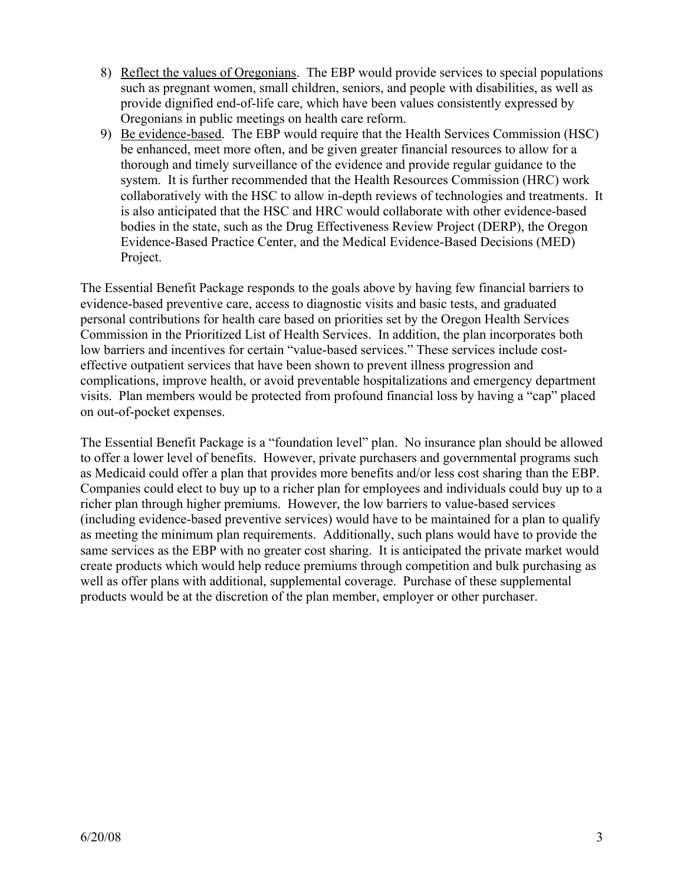- 8) Reflect the values of Oregonians. The EBP would provide services to special populations such as pregnant women, small children, seniors, and people with disabilities, as well as provide dignified end-of-life care, which have been values consistently expressed by Oregonians in public meetings on health care reform.
- 9) Be evidence-based. The EBP would require that the Health Services Commission (HSC) be enhanced, meet more often, and be given greater financial resources to allow for a thorough and timely surveillance of the evidence and provide regular guidance to the system. It is further recommended that the Health Resources Commission (HRC) work collaboratively with the HSC to allow in-depth reviews of technologies and treatments. It is also anticipated that the HSC and HRC would collaborate with other evidence-based bodies in the state, such as the Drug Effectiveness Review Project (DERP), the Oregon Evidence-Based Practice Center, and the Medical Evidence-Based Decisions (MED) Project.

The Essential Benefit Package responds to the goals above by having few financial barriers to evidence-based preventive care, access to diagnostic visits and basic tests, and graduated personal contributions for health care based on priorities set by the Oregon Health Services Commission in the Prioritized List of Health Services. In addition, the plan incorporates both low barriers and incentives for certain "value-based services." These services include costeffective outpatient services that have been shown to prevent illness progression and complications, improve health, or avoid preventable hospitalizations and emergency department visits. Plan members would be protected from profound financial loss by having a "cap" placed on out-of-pocket expenses.

The Essential Benefit Package is a "foundation level" plan. No insurance plan should be allowed to offer a lower level of benefits. However, private purchasers and governmental programs such as Medicaid could offer a plan that provides more benefits and/or less cost sharing than the EBP. Companies could elect to buy up to a richer plan for employees and individuals could buy up to a richer plan through higher premiums. However, the low barriers to value-based services (including evidence-based preventive services) would have to be maintained for a plan to qualify as meeting the minimum plan requirements. Additionally, such plans would have to provide the same services as the EBP with no greater cost sharing. It is anticipated the private market would create products which would help reduce premiums through competition and bulk purchasing as well as offer plans with additional, supplemental coverage. Purchase of these supplemental products would be at the discretion of the plan member, employer or other purchaser.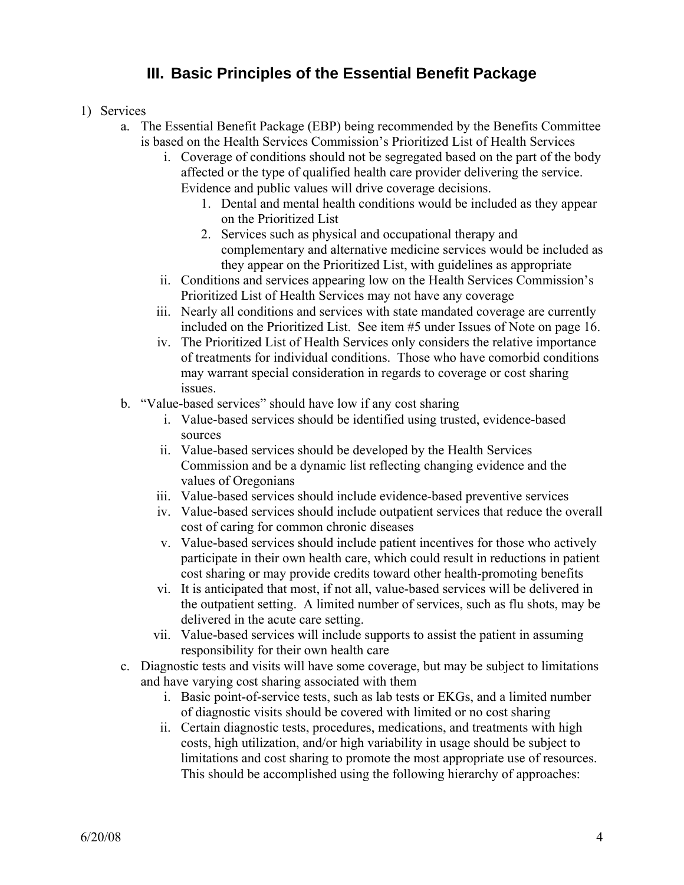### **III. Basic Principles of the Essential Benefit Package**

### 1) Services

- a. The Essential Benefit Package (EBP) being recommended by the Benefits Committee is based on the Health Services Commission's Prioritized List of Health Services
	- i. Coverage of conditions should not be segregated based on the part of the body affected or the type of qualified health care provider delivering the service. Evidence and public values will drive coverage decisions.
		- 1. Dental and mental health conditions would be included as they appear on the Prioritized List
		- 2. Services such as physical and occupational therapy and complementary and alternative medicine services would be included as they appear on the Prioritized List, with guidelines as appropriate
	- ii. Conditions and services appearing low on the Health Services Commission's Prioritized List of Health Services may not have any coverage
	- iii. Nearly all conditions and services with state mandated coverage are currently included on the Prioritized List. See item #5 under Issues of Note on page 16.
	- iv. The Prioritized List of Health Services only considers the relative importance of treatments for individual conditions. Those who have comorbid conditions may warrant special consideration in regards to coverage or cost sharing issues.
- b. "Value-based services" should have low if any cost sharing
	- i. Value-based services should be identified using trusted, evidence-based sources
	- ii. Value-based services should be developed by the Health Services Commission and be a dynamic list reflecting changing evidence and the values of Oregonians
	- iii. Value-based services should include evidence-based preventive services
	- iv. Value-based services should include outpatient services that reduce the overall cost of caring for common chronic diseases
	- v. Value-based services should include patient incentives for those who actively participate in their own health care, which could result in reductions in patient cost sharing or may provide credits toward other health-promoting benefits
	- vi. It is anticipated that most, if not all, value-based services will be delivered in the outpatient setting. A limited number of services, such as flu shots, may be delivered in the acute care setting.
	- vii. Value-based services will include supports to assist the patient in assuming responsibility for their own health care
- c. Diagnostic tests and visits will have some coverage, but may be subject to limitations and have varying cost sharing associated with them
	- i. Basic point-of-service tests, such as lab tests or EKGs, and a limited number of diagnostic visits should be covered with limited or no cost sharing
	- ii. Certain diagnostic tests, procedures, medications, and treatments with high costs, high utilization, and/or high variability in usage should be subject to limitations and cost sharing to promote the most appropriate use of resources. This should be accomplished using the following hierarchy of approaches: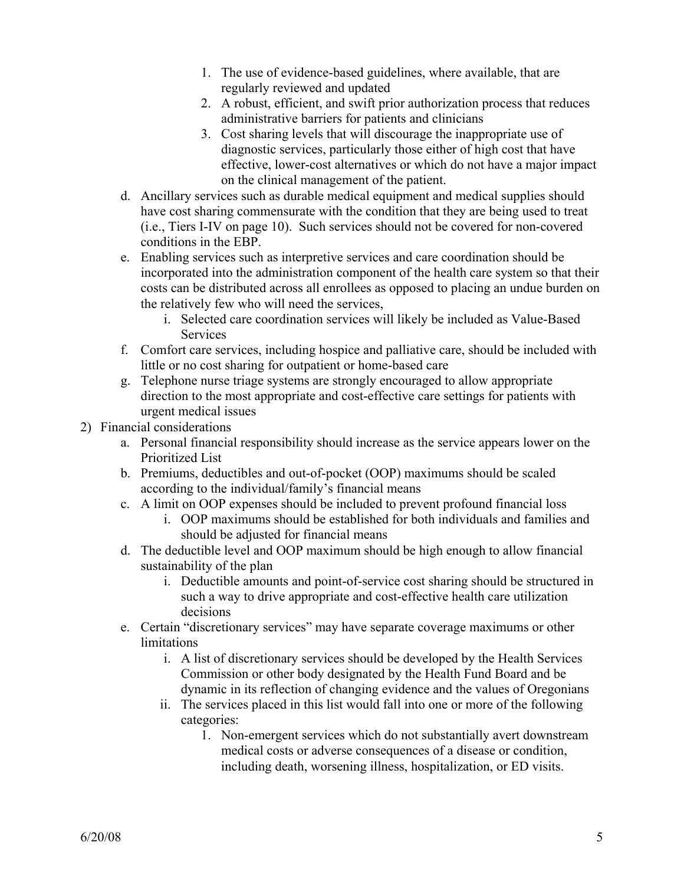- 1. The use of evidence-based guidelines, where available, that are regularly reviewed and updated
- 2. A robust, efficient, and swift prior authorization process that reduces administrative barriers for patients and clinicians
- 3. Cost sharing levels that will discourage the inappropriate use of diagnostic services, particularly those either of high cost that have effective, lower-cost alternatives or which do not have a major impact on the clinical management of the patient.
- d. Ancillary services such as durable medical equipment and medical supplies should have cost sharing commensurate with the condition that they are being used to treat (i.e., Tiers I-IV on page 10). Such services should not be covered for non-covered conditions in the EBP.
- e. Enabling services such as interpretive services and care coordination should be incorporated into the administration component of the health care system so that their costs can be distributed across all enrollees as opposed to placing an undue burden on the relatively few who will need the services,
	- i. Selected care coordination services will likely be included as Value-Based **Services**
- f. Comfort care services, including hospice and palliative care, should be included with little or no cost sharing for outpatient or home-based care
- g. Telephone nurse triage systems are strongly encouraged to allow appropriate direction to the most appropriate and cost-effective care settings for patients with urgent medical issues
- 2) Financial considerations
	- a. Personal financial responsibility should increase as the service appears lower on the Prioritized List
	- b. Premiums, deductibles and out-of-pocket (OOP) maximums should be scaled according to the individual/family's financial means
	- c. A limit on OOP expenses should be included to prevent profound financial loss
		- i. OOP maximums should be established for both individuals and families and should be adjusted for financial means
	- d. The deductible level and OOP maximum should be high enough to allow financial sustainability of the plan
		- i. Deductible amounts and point-of-service cost sharing should be structured in such a way to drive appropriate and cost-effective health care utilization decisions
	- e. Certain "discretionary services" may have separate coverage maximums or other limitations
		- i. A list of discretionary services should be developed by the Health Services Commission or other body designated by the Health Fund Board and be dynamic in its reflection of changing evidence and the values of Oregonians
		- ii. The services placed in this list would fall into one or more of the following categories:
			- 1. Non-emergent services which do not substantially avert downstream medical costs or adverse consequences of a disease or condition, including death, worsening illness, hospitalization, or ED visits.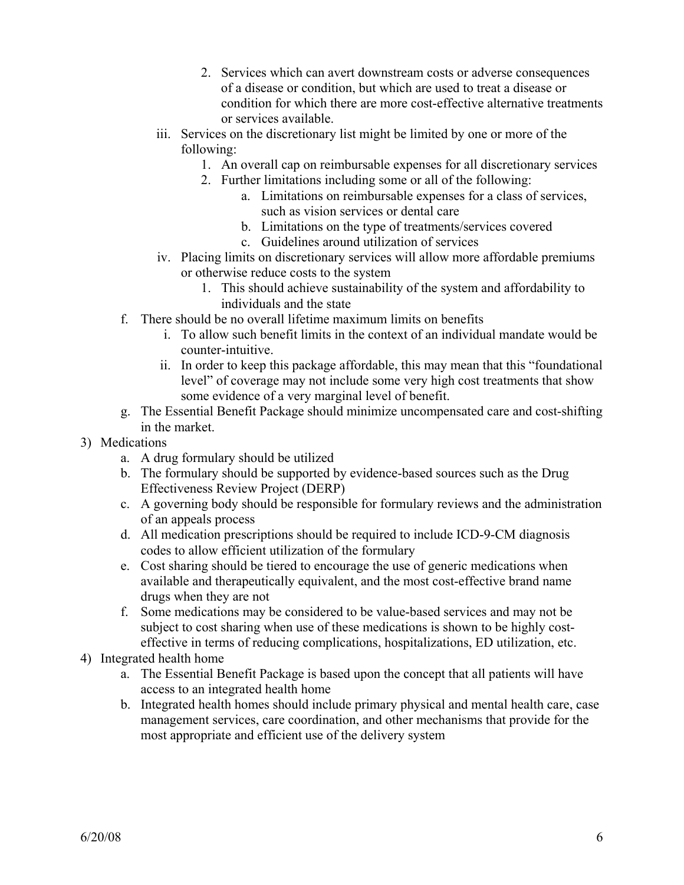- 2. Services which can avert downstream costs or adverse consequences of a disease or condition, but which are used to treat a disease or condition for which there are more cost-effective alternative treatments or services available.
- iii. Services on the discretionary list might be limited by one or more of the following:
	- 1. An overall cap on reimbursable expenses for all discretionary services
	- 2. Further limitations including some or all of the following:
		- a. Limitations on reimbursable expenses for a class of services, such as vision services or dental care
		- b. Limitations on the type of treatments/services covered
		- c. Guidelines around utilization of services
- iv. Placing limits on discretionary services will allow more affordable premiums or otherwise reduce costs to the system
	- 1. This should achieve sustainability of the system and affordability to individuals and the state
- f. There should be no overall lifetime maximum limits on benefits
	- i. To allow such benefit limits in the context of an individual mandate would be counter-intuitive.
	- ii. In order to keep this package affordable, this may mean that this "foundational level" of coverage may not include some very high cost treatments that show some evidence of a very marginal level of benefit.
- g. The Essential Benefit Package should minimize uncompensated care and cost-shifting in the market.
- 3) Medications
	- a. A drug formulary should be utilized
	- b. The formulary should be supported by evidence-based sources such as the Drug Effectiveness Review Project (DERP)
	- c. A governing body should be responsible for formulary reviews and the administration of an appeals process
	- d. All medication prescriptions should be required to include ICD-9-CM diagnosis codes to allow efficient utilization of the formulary
	- e. Cost sharing should be tiered to encourage the use of generic medications when available and therapeutically equivalent, and the most cost-effective brand name drugs when they are not
	- f. Some medications may be considered to be value-based services and may not be subject to cost sharing when use of these medications is shown to be highly costeffective in terms of reducing complications, hospitalizations, ED utilization, etc.
- 4) Integrated health home
	- a. The Essential Benefit Package is based upon the concept that all patients will have access to an integrated health home
	- b. Integrated health homes should include primary physical and mental health care, case management services, care coordination, and other mechanisms that provide for the most appropriate and efficient use of the delivery system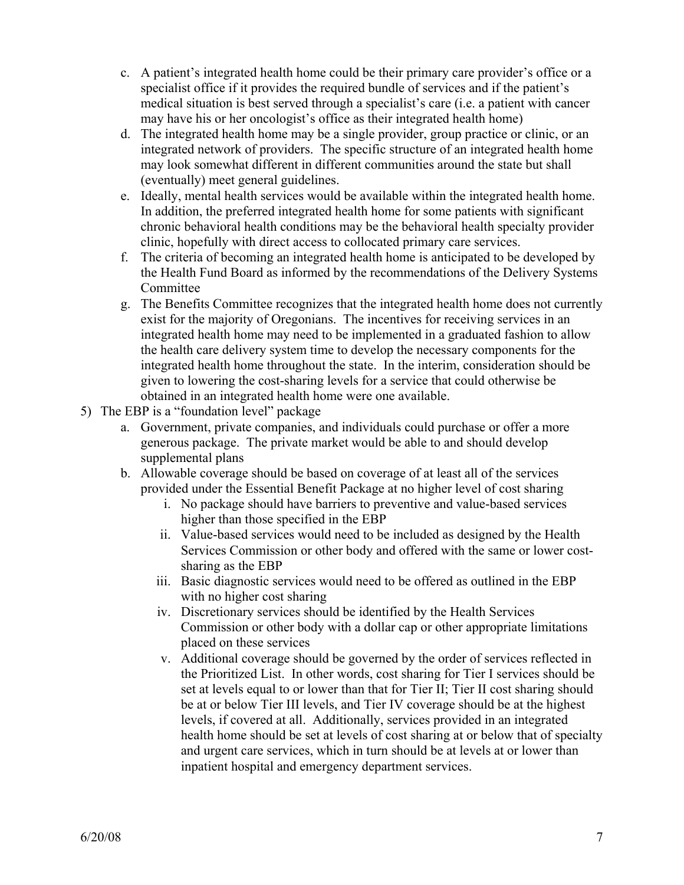- c. A patient's integrated health home could be their primary care provider's office or a specialist office if it provides the required bundle of services and if the patient's medical situation is best served through a specialist's care (i.e. a patient with cancer may have his or her oncologist's office as their integrated health home)
- d. The integrated health home may be a single provider, group practice or clinic, or an integrated network of providers. The specific structure of an integrated health home may look somewhat different in different communities around the state but shall (eventually) meet general guidelines.
- e. Ideally, mental health services would be available within the integrated health home. In addition, the preferred integrated health home for some patients with significant chronic behavioral health conditions may be the behavioral health specialty provider clinic, hopefully with direct access to collocated primary care services.
- f. The criteria of becoming an integrated health home is anticipated to be developed by the Health Fund Board as informed by the recommendations of the Delivery Systems Committee
- g. The Benefits Committee recognizes that the integrated health home does not currently exist for the majority of Oregonians. The incentives for receiving services in an integrated health home may need to be implemented in a graduated fashion to allow the health care delivery system time to develop the necessary components for the integrated health home throughout the state. In the interim, consideration should be given to lowering the cost-sharing levels for a service that could otherwise be obtained in an integrated health home were one available.
- 5) The EBP is a "foundation level" package
	- a. Government, private companies, and individuals could purchase or offer a more generous package. The private market would be able to and should develop supplemental plans
	- b. Allowable coverage should be based on coverage of at least all of the services provided under the Essential Benefit Package at no higher level of cost sharing
		- i. No package should have barriers to preventive and value-based services higher than those specified in the EBP
		- ii. Value-based services would need to be included as designed by the Health Services Commission or other body and offered with the same or lower costsharing as the EBP
		- iii. Basic diagnostic services would need to be offered as outlined in the EBP with no higher cost sharing
		- iv. Discretionary services should be identified by the Health Services Commission or other body with a dollar cap or other appropriate limitations placed on these services
		- v. Additional coverage should be governed by the order of services reflected in the Prioritized List. In other words, cost sharing for Tier I services should be set at levels equal to or lower than that for Tier II; Tier II cost sharing should be at or below Tier III levels, and Tier IV coverage should be at the highest levels, if covered at all. Additionally, services provided in an integrated health home should be set at levels of cost sharing at or below that of specialty and urgent care services, which in turn should be at levels at or lower than inpatient hospital and emergency department services.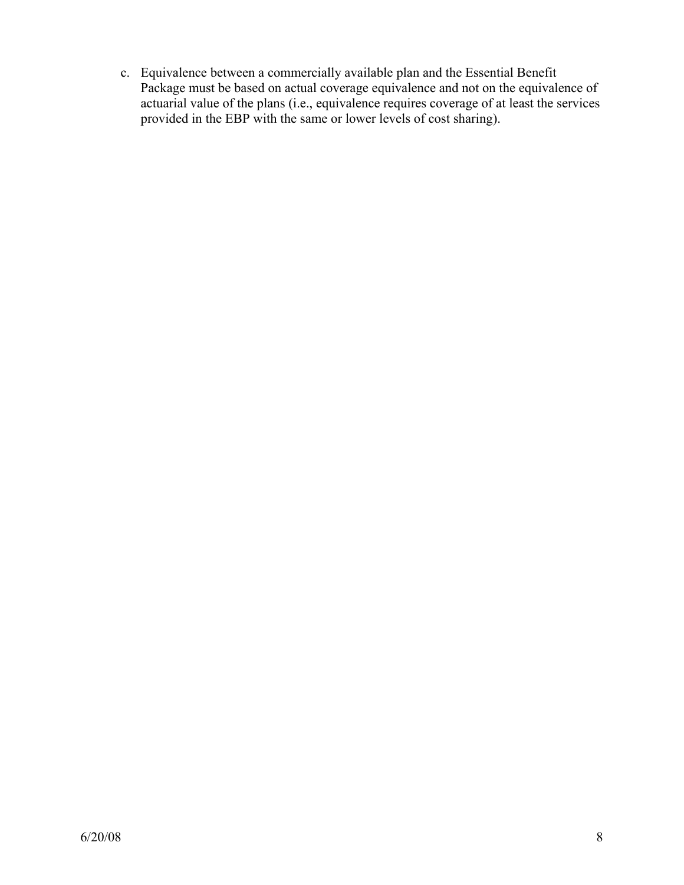c. Equivalence between a commercially available plan and the Essential Benefit Package must be based on actual coverage equivalence and not on the equivalence of actuarial value of the plans (i.e., equivalence requires coverage of at least the services provided in the EBP with the same or lower levels of cost sharing).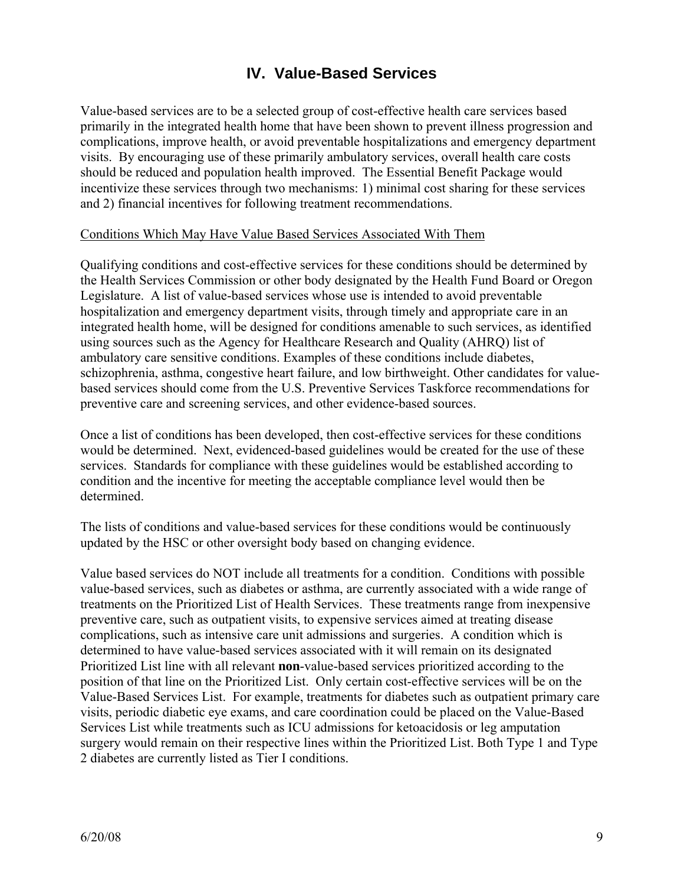### **IV. Value-Based Services**

Value-based services are to be a selected group of cost-effective health care services based primarily in the integrated health home that have been shown to prevent illness progression and complications, improve health, or avoid preventable hospitalizations and emergency department visits. By encouraging use of these primarily ambulatory services, overall health care costs should be reduced and population health improved. The Essential Benefit Package would incentivize these services through two mechanisms: 1) minimal cost sharing for these services and 2) financial incentives for following treatment recommendations.

#### Conditions Which May Have Value Based Services Associated With Them

Qualifying conditions and cost-effective services for these conditions should be determined by the Health Services Commission or other body designated by the Health Fund Board or Oregon Legislature. A list of value-based services whose use is intended to avoid preventable hospitalization and emergency department visits, through timely and appropriate care in an integrated health home, will be designed for conditions amenable to such services, as identified using sources such as the Agency for Healthcare Research and Quality (AHRQ) list of ambulatory care sensitive conditions. Examples of these conditions include diabetes, schizophrenia, asthma, congestive heart failure, and low birthweight. Other candidates for valuebased services should come from the U.S. Preventive Services Taskforce recommendations for preventive care and screening services, and other evidence-based sources.

Once a list of conditions has been developed, then cost-effective services for these conditions would be determined. Next, evidenced-based guidelines would be created for the use of these services. Standards for compliance with these guidelines would be established according to condition and the incentive for meeting the acceptable compliance level would then be determined.

The lists of conditions and value-based services for these conditions would be continuously updated by the HSC or other oversight body based on changing evidence.

Value based services do NOT include all treatments for a condition. Conditions with possible value-based services, such as diabetes or asthma, are currently associated with a wide range of treatments on the Prioritized List of Health Services. These treatments range from inexpensive preventive care, such as outpatient visits, to expensive services aimed at treating disease complications, such as intensive care unit admissions and surgeries. A condition which is determined to have value-based services associated with it will remain on its designated Prioritized List line with all relevant **non**-value-based services prioritized according to the position of that line on the Prioritized List. Only certain cost-effective services will be on the Value-Based Services List. For example, treatments for diabetes such as outpatient primary care visits, periodic diabetic eye exams, and care coordination could be placed on the Value-Based Services List while treatments such as ICU admissions for ketoacidosis or leg amputation surgery would remain on their respective lines within the Prioritized List. Both Type 1 and Type 2 diabetes are currently listed as Tier I conditions.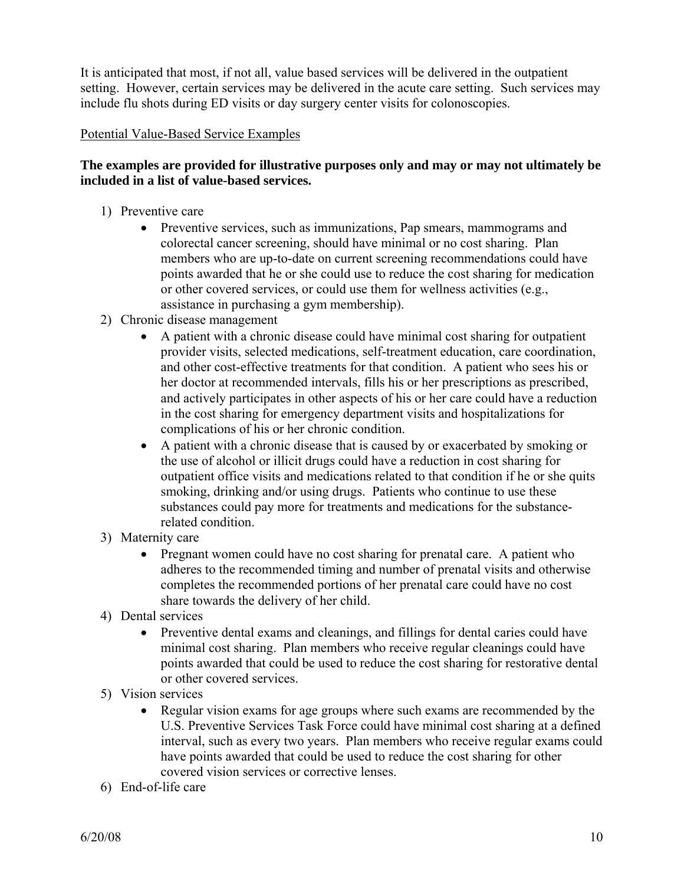It is anticipated that most, if not all, value based services will be delivered in the outpatient setting. However, certain services may be delivered in the acute care setting. Such services may include flu shots during ED visits or day surgery center visits for colonoscopies.

#### Potential Value-Based Service Examples

### **The examples are provided for illustrative purposes only and may or may not ultimately be included in a list of value-based services.**

- 1) Preventive care
	- Preventive services, such as immunizations, Pap smears, mammograms and colorectal cancer screening, should have minimal or no cost sharing. Plan members who are up-to-date on current screening recommendations could have points awarded that he or she could use to reduce the cost sharing for medication or other covered services, or could use them for wellness activities (e.g., assistance in purchasing a gym membership).
- 2) Chronic disease management
	- A patient with a chronic disease could have minimal cost sharing for outpatient provider visits, selected medications, self-treatment education, care coordination, and other cost-effective treatments for that condition. A patient who sees his or her doctor at recommended intervals, fills his or her prescriptions as prescribed, and actively participates in other aspects of his or her care could have a reduction in the cost sharing for emergency department visits and hospitalizations for complications of his or her chronic condition.
	- A patient with a chronic disease that is caused by or exacerbated by smoking or the use of alcohol or illicit drugs could have a reduction in cost sharing for outpatient office visits and medications related to that condition if he or she quits smoking, drinking and/or using drugs. Patients who continue to use these substances could pay more for treatments and medications for the substancerelated condition.
- 3) Maternity care
	- Pregnant women could have no cost sharing for prenatal care. A patient who adheres to the recommended timing and number of prenatal visits and otherwise completes the recommended portions of her prenatal care could have no cost share towards the delivery of her child.
- 4) Dental services
	- Preventive dental exams and cleanings, and fillings for dental caries could have minimal cost sharing. Plan members who receive regular cleanings could have points awarded that could be used to reduce the cost sharing for restorative dental or other covered services.
- 5) Vision services
	- Regular vision exams for age groups where such exams are recommended by the U.S. Preventive Services Task Force could have minimal cost sharing at a defined interval, such as every two years. Plan members who receive regular exams could have points awarded that could be used to reduce the cost sharing for other covered vision services or corrective lenses.
- 6) End-of-life care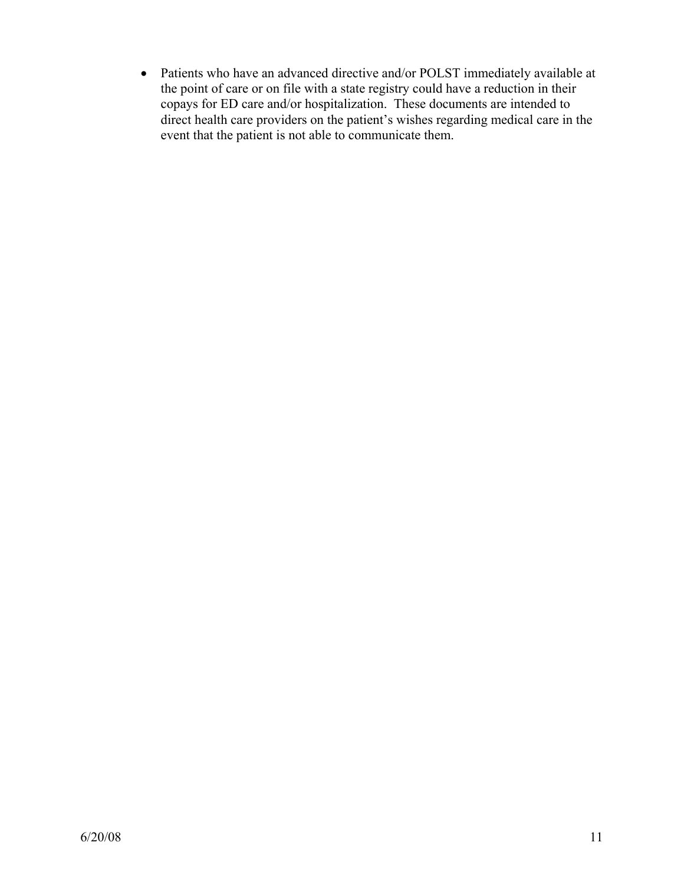• Patients who have an advanced directive and/or POLST immediately available at the point of care or on file with a state registry could have a reduction in their copays for ED care and/or hospitalization. These documents are intended to direct health care providers on the patient's wishes regarding medical care in the event that the patient is not able to communicate them.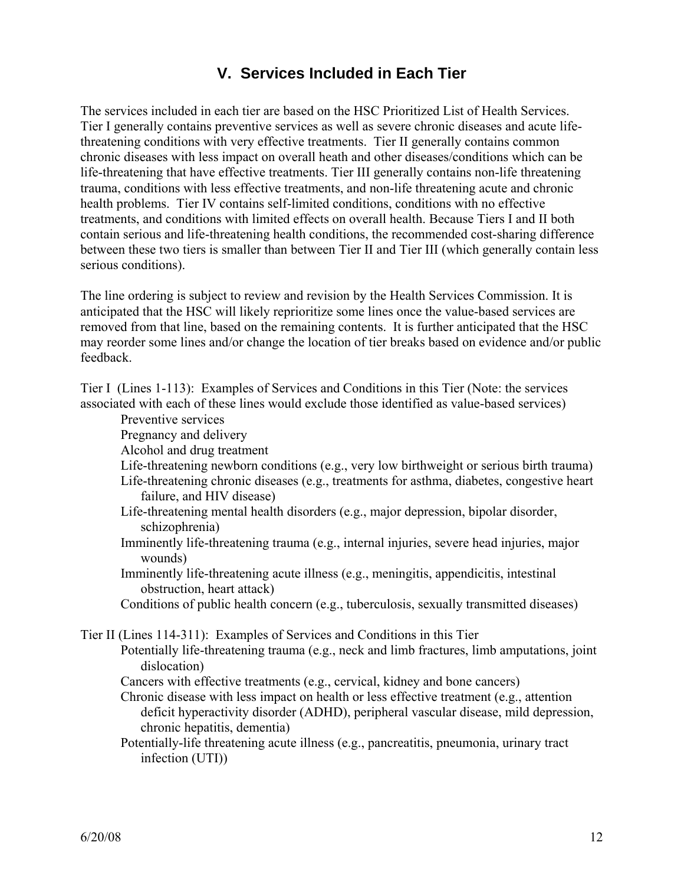### **V. Services Included in Each Tier**

The services included in each tier are based on the HSC Prioritized List of Health Services. Tier I generally contains preventive services as well as severe chronic diseases and acute lifethreatening conditions with very effective treatments. Tier II generally contains common chronic diseases with less impact on overall heath and other diseases/conditions which can be life-threatening that have effective treatments. Tier III generally contains non-life threatening trauma, conditions with less effective treatments, and non-life threatening acute and chronic health problems. Tier IV contains self-limited conditions, conditions with no effective treatments, and conditions with limited effects on overall health. Because Tiers I and II both contain serious and life-threatening health conditions, the recommended cost-sharing difference between these two tiers is smaller than between Tier II and Tier III (which generally contain less serious conditions).

The line ordering is subject to review and revision by the Health Services Commission. It is anticipated that the HSC will likely reprioritize some lines once the value-based services are removed from that line, based on the remaining contents. It is further anticipated that the HSC may reorder some lines and/or change the location of tier breaks based on evidence and/or public feedback.

Tier I (Lines 1-113): Examples of Services and Conditions in this Tier (Note: the services associated with each of these lines would exclude those identified as value-based services)

Preventive services

- Pregnancy and delivery
- Alcohol and drug treatment
- Life-threatening newborn conditions (e.g., very low birthweight or serious birth trauma)
- Life-threatening chronic diseases (e.g., treatments for asthma, diabetes, congestive heart failure, and HIV disease)
- Life-threatening mental health disorders (e.g., major depression, bipolar disorder, schizophrenia)
- Imminently life-threatening trauma (e.g., internal injuries, severe head injuries, major wounds)
- Imminently life-threatening acute illness (e.g., meningitis, appendicitis, intestinal obstruction, heart attack)
- Conditions of public health concern (e.g., tuberculosis, sexually transmitted diseases)

Tier II (Lines 114-311): Examples of Services and Conditions in this Tier

- Potentially life-threatening trauma (e.g., neck and limb fractures, limb amputations, joint dislocation)
	- Cancers with effective treatments (e.g., cervical, kidney and bone cancers)
	- Chronic disease with less impact on health or less effective treatment (e.g., attention deficit hyperactivity disorder (ADHD), peripheral vascular disease, mild depression, chronic hepatitis, dementia)
	- Potentially-life threatening acute illness (e.g., pancreatitis, pneumonia, urinary tract infection (UTI))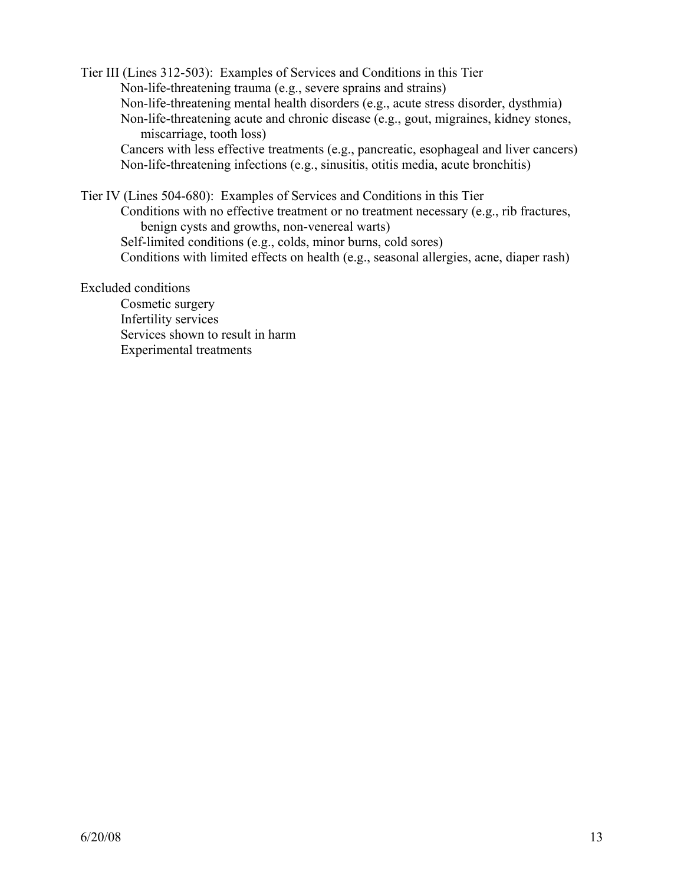Tier III (Lines 312-503): Examples of Services and Conditions in this Tier Non-life-threatening trauma (e.g., severe sprains and strains) Non-life-threatening mental health disorders (e.g., acute stress disorder, dysthmia) Non-life-threatening acute and chronic disease (e.g., gout, migraines, kidney stones, miscarriage, tooth loss) Cancers with less effective treatments (e.g., pancreatic, esophageal and liver cancers) Non-life-threatening infections (e.g., sinusitis, otitis media, acute bronchitis)

Tier IV (Lines 504-680): Examples of Services and Conditions in this Tier Conditions with no effective treatment or no treatment necessary (e.g., rib fractures, benign cysts and growths, non-venereal warts) Self-limited conditions (e.g., colds, minor burns, cold sores) Conditions with limited effects on health (e.g., seasonal allergies, acne, diaper rash)

#### Excluded conditions

Cosmetic surgery Infertility services Services shown to result in harm Experimental treatments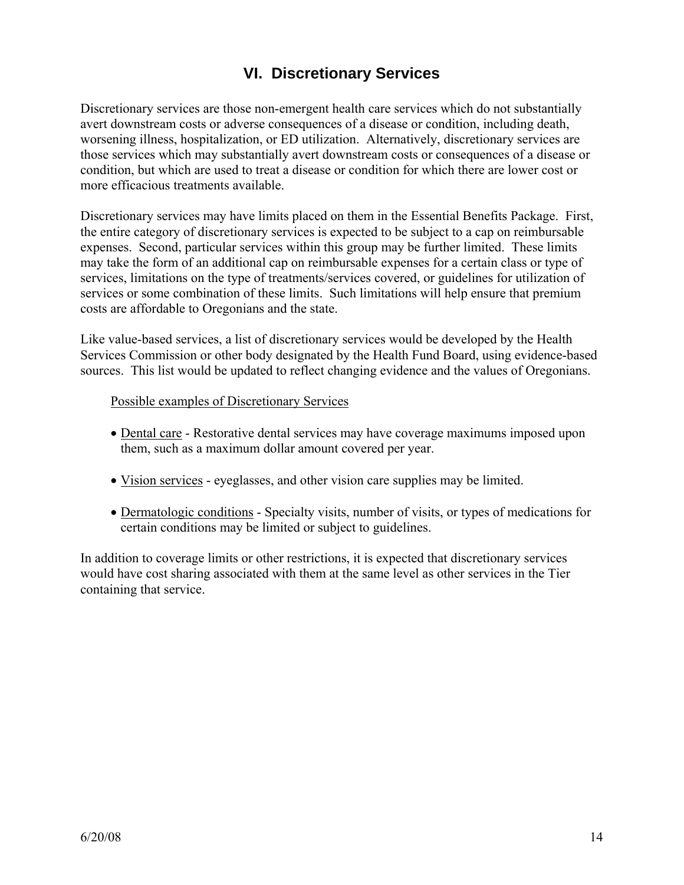### **VI. Discretionary Services**

Discretionary services are those non-emergent health care services which do not substantially avert downstream costs or adverse consequences of a disease or condition, including death, worsening illness, hospitalization, or ED utilization. Alternatively, discretionary services are those services which may substantially avert downstream costs or consequences of a disease or condition, but which are used to treat a disease or condition for which there are lower cost or more efficacious treatments available.

Discretionary services may have limits placed on them in the Essential Benefits Package. First, the entire category of discretionary services is expected to be subject to a cap on reimbursable expenses. Second, particular services within this group may be further limited. These limits may take the form of an additional cap on reimbursable expenses for a certain class or type of services, limitations on the type of treatments/services covered, or guidelines for utilization of services or some combination of these limits. Such limitations will help ensure that premium costs are affordable to Oregonians and the state.

Like value-based services, a list of discretionary services would be developed by the Health Services Commission or other body designated by the Health Fund Board, using evidence-based sources. This list would be updated to reflect changing evidence and the values of Oregonians.

#### Possible examples of Discretionary Services

- Dental care Restorative dental services may have coverage maximums imposed upon them, such as a maximum dollar amount covered per year.
- Vision services eyeglasses, and other vision care supplies may be limited.
- Dermatologic conditions Specialty visits, number of visits, or types of medications for certain conditions may be limited or subject to guidelines.

In addition to coverage limits or other restrictions, it is expected that discretionary services would have cost sharing associated with them at the same level as other services in the Tier containing that service.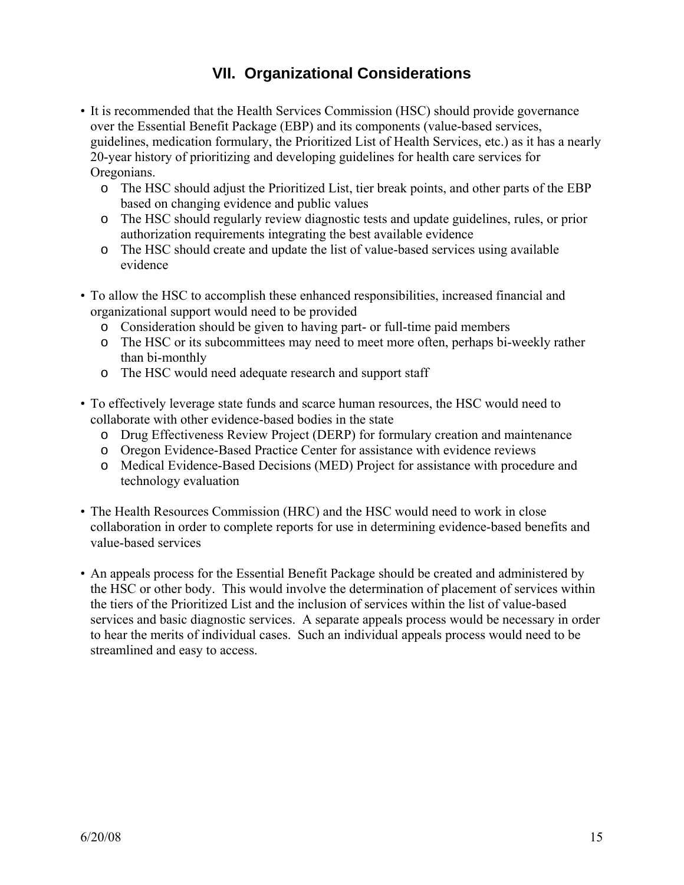## **VII. Organizational Considerations**

- It is recommended that the Health Services Commission (HSC) should provide governance over the Essential Benefit Package (EBP) and its components (value-based services, guidelines, medication formulary, the Prioritized List of Health Services, etc.) as it has a nearly 20-year history of prioritizing and developing guidelines for health care services for Oregonians.
	- o The HSC should adjust the Prioritized List, tier break points, and other parts of the EBP based on changing evidence and public values
	- o The HSC should regularly review diagnostic tests and update guidelines, rules, or prior authorization requirements integrating the best available evidence
	- o The HSC should create and update the list of value-based services using available evidence
- To allow the HSC to accomplish these enhanced responsibilities, increased financial and organizational support would need to be provided
	- o Consideration should be given to having part- or full-time paid members
	- o The HSC or its subcommittees may need to meet more often, perhaps bi-weekly rather than bi-monthly
	- o The HSC would need adequate research and support staff
- To effectively leverage state funds and scarce human resources, the HSC would need to collaborate with other evidence-based bodies in the state
	- o Drug Effectiveness Review Project (DERP) for formulary creation and maintenance
	- o Oregon Evidence-Based Practice Center for assistance with evidence reviews
	- o Medical Evidence-Based Decisions (MED) Project for assistance with procedure and technology evaluation
- The Health Resources Commission (HRC) and the HSC would need to work in close collaboration in order to complete reports for use in determining evidence-based benefits and value-based services
- An appeals process for the Essential Benefit Package should be created and administered by the HSC or other body. This would involve the determination of placement of services within the tiers of the Prioritized List and the inclusion of services within the list of value-based services and basic diagnostic services. A separate appeals process would be necessary in order to hear the merits of individual cases. Such an individual appeals process would need to be streamlined and easy to access.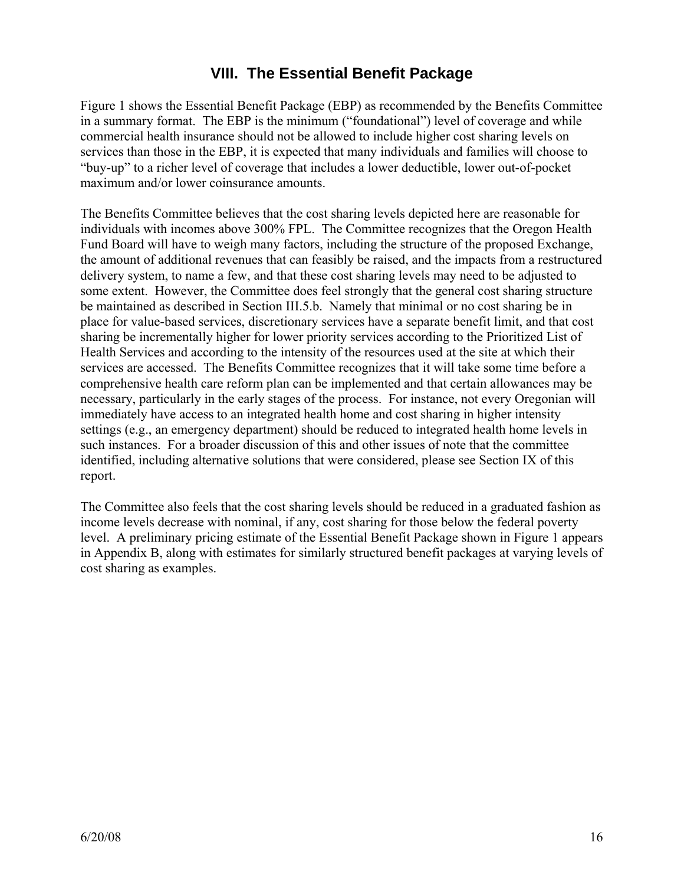### **VIII. The Essential Benefit Package**

Figure 1 shows the Essential Benefit Package (EBP) as recommended by the Benefits Committee in a summary format. The EBP is the minimum ("foundational") level of coverage and while commercial health insurance should not be allowed to include higher cost sharing levels on services than those in the EBP, it is expected that many individuals and families will choose to "buy-up" to a richer level of coverage that includes a lower deductible, lower out-of-pocket maximum and/or lower coinsurance amounts.

The Benefits Committee believes that the cost sharing levels depicted here are reasonable for individuals with incomes above 300% FPL. The Committee recognizes that the Oregon Health Fund Board will have to weigh many factors, including the structure of the proposed Exchange, the amount of additional revenues that can feasibly be raised, and the impacts from a restructured delivery system, to name a few, and that these cost sharing levels may need to be adjusted to some extent. However, the Committee does feel strongly that the general cost sharing structure be maintained as described in Section III.5.b. Namely that minimal or no cost sharing be in place for value-based services, discretionary services have a separate benefit limit, and that cost sharing be incrementally higher for lower priority services according to the Prioritized List of Health Services and according to the intensity of the resources used at the site at which their services are accessed. The Benefits Committee recognizes that it will take some time before a comprehensive health care reform plan can be implemented and that certain allowances may be necessary, particularly in the early stages of the process. For instance, not every Oregonian will immediately have access to an integrated health home and cost sharing in higher intensity settings (e.g., an emergency department) should be reduced to integrated health home levels in such instances. For a broader discussion of this and other issues of note that the committee identified, including alternative solutions that were considered, please see Section IX of this report.

The Committee also feels that the cost sharing levels should be reduced in a graduated fashion as income levels decrease with nominal, if any, cost sharing for those below the federal poverty level. A preliminary pricing estimate of the Essential Benefit Package shown in Figure 1 appears in Appendix B, along with estimates for similarly structured benefit packages at varying levels of cost sharing as examples.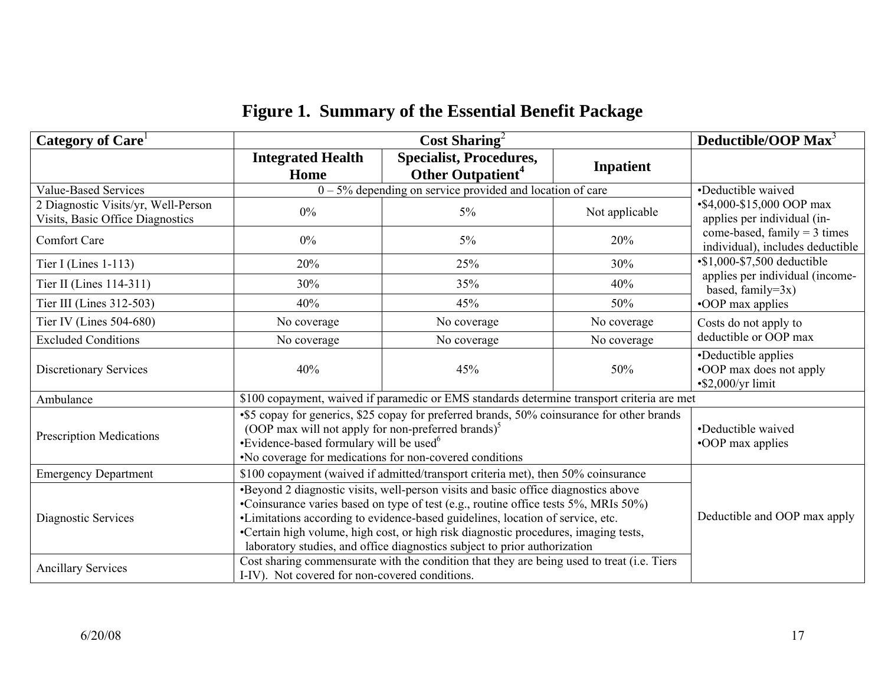| Category of Care                                                        |                                                                                                                                                                                                                                                                                                                                                                                                                                                                                                                               | Cost Sharing <sup>2</sup>                                                                                                                                                                                                                                              |                  | Deductible/OOP Max <sup>3</sup>                                            |  |  |  |
|-------------------------------------------------------------------------|-------------------------------------------------------------------------------------------------------------------------------------------------------------------------------------------------------------------------------------------------------------------------------------------------------------------------------------------------------------------------------------------------------------------------------------------------------------------------------------------------------------------------------|------------------------------------------------------------------------------------------------------------------------------------------------------------------------------------------------------------------------------------------------------------------------|------------------|----------------------------------------------------------------------------|--|--|--|
|                                                                         | <b>Integrated Health</b><br>Home                                                                                                                                                                                                                                                                                                                                                                                                                                                                                              | <b>Specialist, Procedures,</b><br>Other Outpatient <sup>4</sup>                                                                                                                                                                                                        | <b>Inpatient</b> |                                                                            |  |  |  |
| <b>Value-Based Services</b>                                             |                                                                                                                                                                                                                                                                                                                                                                                                                                                                                                                               | $0 - 5%$ depending on service provided and location of care                                                                                                                                                                                                            |                  | •Deductible waived<br>•\$4,000-\$15,000 OOP max                            |  |  |  |
| 2 Diagnostic Visits/yr, Well-Person<br>Visits, Basic Office Diagnostics | $0\%$                                                                                                                                                                                                                                                                                                                                                                                                                                                                                                                         | $5\%$<br>Not applicable                                                                                                                                                                                                                                                |                  |                                                                            |  |  |  |
| <b>Comfort Care</b>                                                     | $0\%$                                                                                                                                                                                                                                                                                                                                                                                                                                                                                                                         | $5\%$                                                                                                                                                                                                                                                                  | 20%              | come-based, family $=$ 3 times<br>individual), includes deductible         |  |  |  |
| Tier I (Lines $1-113$ )                                                 | 20%                                                                                                                                                                                                                                                                                                                                                                                                                                                                                                                           | 25%                                                                                                                                                                                                                                                                    | 30%              | $\cdot$ \$1,000-\$7,500 deductible                                         |  |  |  |
| Tier II (Lines 114-311)                                                 | 30%                                                                                                                                                                                                                                                                                                                                                                                                                                                                                                                           | 35%                                                                                                                                                                                                                                                                    | 40%              | applies per individual (income-<br>based, family= $3x$ )                   |  |  |  |
| Tier III (Lines 312-503)                                                | 40%                                                                                                                                                                                                                                                                                                                                                                                                                                                                                                                           | 45%                                                                                                                                                                                                                                                                    | 50%              | •OOP max applies                                                           |  |  |  |
| Tier IV (Lines 504-680)                                                 | No coverage                                                                                                                                                                                                                                                                                                                                                                                                                                                                                                                   | Costs do not apply to                                                                                                                                                                                                                                                  |                  |                                                                            |  |  |  |
| <b>Excluded Conditions</b>                                              | No coverage                                                                                                                                                                                                                                                                                                                                                                                                                                                                                                                   | No coverage                                                                                                                                                                                                                                                            | No coverage      | deductible or OOP max                                                      |  |  |  |
| <b>Discretionary Services</b>                                           | 40%                                                                                                                                                                                                                                                                                                                                                                                                                                                                                                                           | 45%                                                                                                                                                                                                                                                                    | 50%              | •Deductible applies<br>•OOP max does not apply<br>$\cdot$ \$2,000/yr limit |  |  |  |
| Ambulance                                                               |                                                                                                                                                                                                                                                                                                                                                                                                                                                                                                                               | \$100 copayment, waived if paramedic or EMS standards determine transport criteria are met                                                                                                                                                                             |                  |                                                                            |  |  |  |
| <b>Prescription Medications</b>                                         |                                                                                                                                                                                                                                                                                                                                                                                                                                                                                                                               | •\$5 copay for generics, \$25 copay for preferred brands, 50% coinsurance for other brands<br>(OOP max will not apply for non-preferred brands) $5$<br>•Evidence-based formulary will be used <sup>6</sup><br>. No coverage for medications for non-covered conditions |                  |                                                                            |  |  |  |
| <b>Emergency Department</b>                                             |                                                                                                                                                                                                                                                                                                                                                                                                                                                                                                                               | \$100 copayment (waived if admitted/transport criteria met), then 50% coinsurance                                                                                                                                                                                      |                  |                                                                            |  |  |  |
| Diagnostic Services                                                     | •Beyond 2 diagnostic visits, well-person visits and basic office diagnostics above<br>•Coinsurance varies based on type of test (e.g., routine office tests 5%, MRIs 50%)<br>•Limitations according to evidence-based guidelines, location of service, etc.<br>•Certain high volume, high cost, or high risk diagnostic procedures, imaging tests,<br>laboratory studies, and office diagnostics subject to prior authorization<br>Cost sharing commensurate with the condition that they are being used to treat (i.e. Tiers | Deductible and OOP max apply                                                                                                                                                                                                                                           |                  |                                                                            |  |  |  |
| <b>Ancillary Services</b>                                               |                                                                                                                                                                                                                                                                                                                                                                                                                                                                                                                               |                                                                                                                                                                                                                                                                        |                  |                                                                            |  |  |  |

# **Figure 1. Summary of the Essential Benefit Package**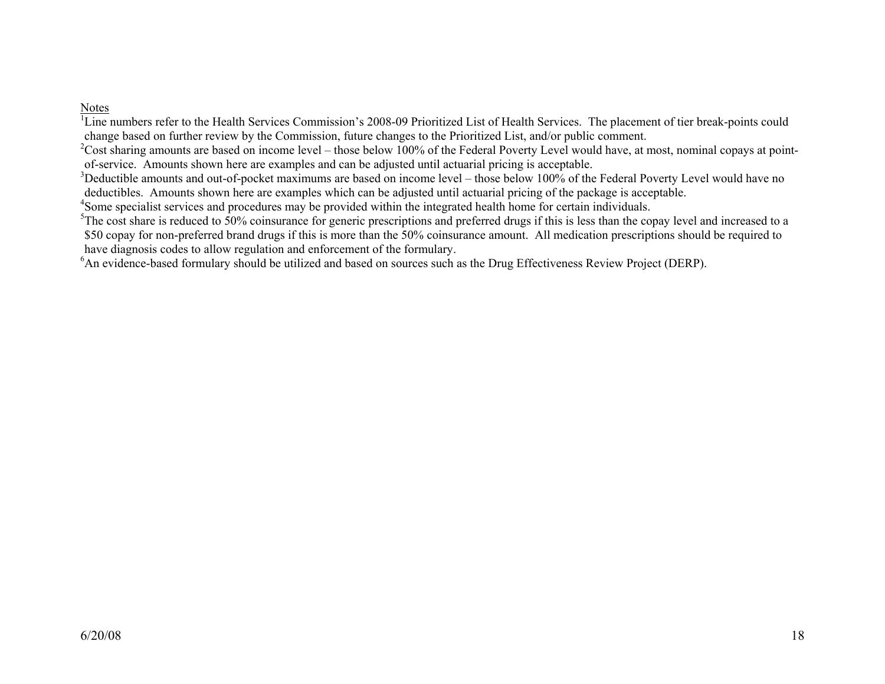#### Notes

<sup>1</sup>Line numbers refer to the Health Services Commission's 2008-09 Prioritized List of Health Services. The placement of tier break-points could change based on further review by the Commission, future changes to the Prioritized List, and/or public comment.<br><sup>2</sup>Cost sharing amounts are based on income level – those below 100% of the Federal Poverty Level would have

of-service. Amounts shown here are examples and can be adjusted until actuarial pricing is acceptable.<br><sup>3</sup>Deductible amounts and out-of-pocket maximums are based on income level – those below 100% of the Federal Poverty Le deductibles. Amounts shown here are examples which can be adjusted until actuarial pricing of the package is acceptable.<br><sup>4</sup>Some specialist services and procedures may be provided within the integrated health home for cert

\$50 copay for non-preferred brand drugs if this is more than the 50% coinsurance amount. All medication prescriptions should be required to have diagnosis codes to allow regulation and enforcement of the formulary.

<sup>6</sup>An evidence-based formulary should be utilized and based on sources such as the Drug Effectiveness Review Project (DERP).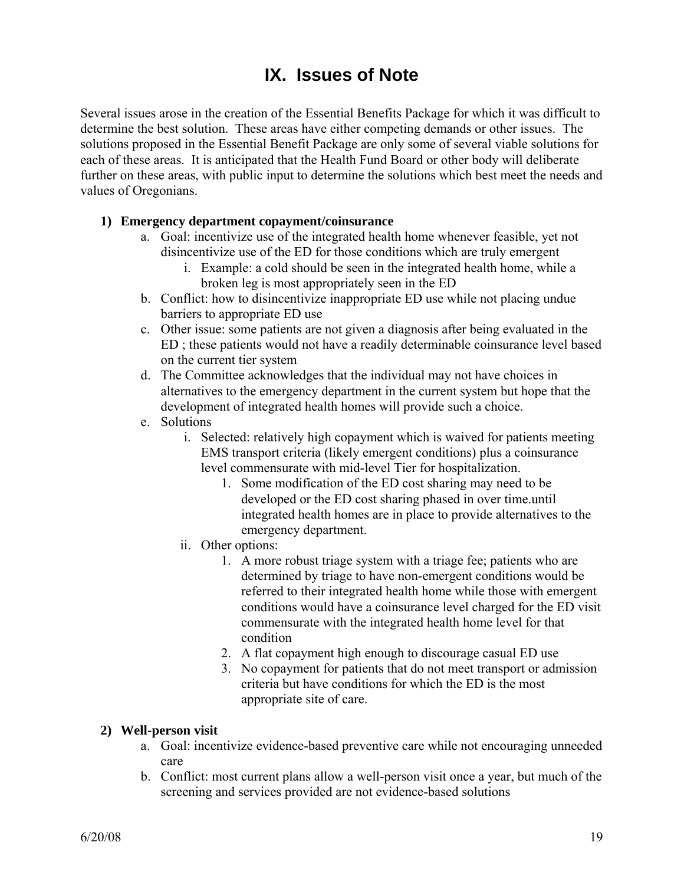# **IX. Issues of Note**

Several issues arose in the creation of the Essential Benefits Package for which it was difficult to determine the best solution. These areas have either competing demands or other issues. The solutions proposed in the Essential Benefit Package are only some of several viable solutions for each of these areas. It is anticipated that the Health Fund Board or other body will deliberate further on these areas, with public input to determine the solutions which best meet the needs and values of Oregonians.

### **1) Emergency department copayment/coinsurance**

- a. Goal: incentivize use of the integrated health home whenever feasible, yet not disincentivize use of the ED for those conditions which are truly emergent
	- i. Example: a cold should be seen in the integrated health home, while a broken leg is most appropriately seen in the ED
- b. Conflict: how to disincentivize inappropriate ED use while not placing undue barriers to appropriate ED use
- c. Other issue: some patients are not given a diagnosis after being evaluated in the ED ; these patients would not have a readily determinable coinsurance level based on the current tier system
- d. The Committee acknowledges that the individual may not have choices in alternatives to the emergency department in the current system but hope that the development of integrated health homes will provide such a choice.
- e. Solutions
	- i. Selected: relatively high copayment which is waived for patients meeting EMS transport criteria (likely emergent conditions) plus a coinsurance level commensurate with mid-level Tier for hospitalization.
		- 1. Some modification of the ED cost sharing may need to be developed or the ED cost sharing phased in over time.until integrated health homes are in place to provide alternatives to the emergency department.
	- ii. Other options:
		- 1. A more robust triage system with a triage fee; patients who are determined by triage to have non-emergent conditions would be referred to their integrated health home while those with emergent conditions would have a coinsurance level charged for the ED visit commensurate with the integrated health home level for that condition
		- 2. A flat copayment high enough to discourage casual ED use
		- 3. No copayment for patients that do not meet transport or admission criteria but have conditions for which the ED is the most appropriate site of care.

#### **2) Well-person visit**

- a. Goal: incentivize evidence-based preventive care while not encouraging unneeded care
- b. Conflict: most current plans allow a well-person visit once a year, but much of the screening and services provided are not evidence-based solutions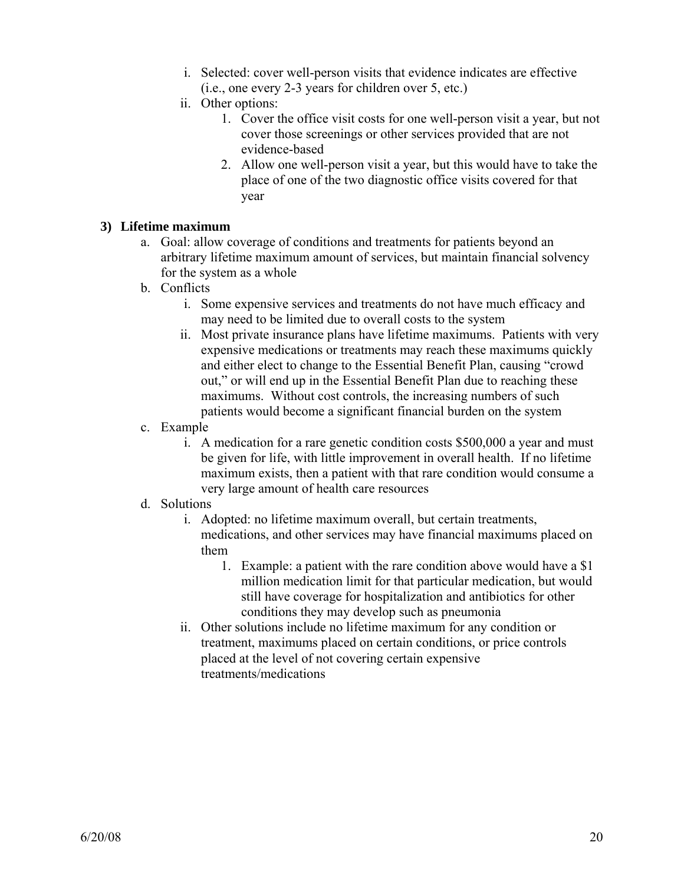- i. Selected: cover well-person visits that evidence indicates are effective (i.e., one every 2-3 years for children over 5, etc.)
- ii. Other options:
	- 1. Cover the office visit costs for one well-person visit a year, but not cover those screenings or other services provided that are not evidence-based
	- 2. Allow one well-person visit a year, but this would have to take the place of one of the two diagnostic office visits covered for that year

### **3) Lifetime maximum**

- a. Goal: allow coverage of conditions and treatments for patients beyond an arbitrary lifetime maximum amount of services, but maintain financial solvency for the system as a whole
- b. Conflicts
	- i. Some expensive services and treatments do not have much efficacy and may need to be limited due to overall costs to the system
	- ii. Most private insurance plans have lifetime maximums. Patients with very expensive medications or treatments may reach these maximums quickly and either elect to change to the Essential Benefit Plan, causing "crowd out," or will end up in the Essential Benefit Plan due to reaching these maximums. Without cost controls, the increasing numbers of such patients would become a significant financial burden on the system
- c. Example
	- i. A medication for a rare genetic condition costs \$500,000 a year and must be given for life, with little improvement in overall health. If no lifetime maximum exists, then a patient with that rare condition would consume a very large amount of health care resources

### d. Solutions

- i. Adopted: no lifetime maximum overall, but certain treatments, medications, and other services may have financial maximums placed on them
	- 1. Example: a patient with the rare condition above would have a \$1 million medication limit for that particular medication, but would still have coverage for hospitalization and antibiotics for other conditions they may develop such as pneumonia
- ii. Other solutions include no lifetime maximum for any condition or treatment, maximums placed on certain conditions, or price controls placed at the level of not covering certain expensive treatments/medications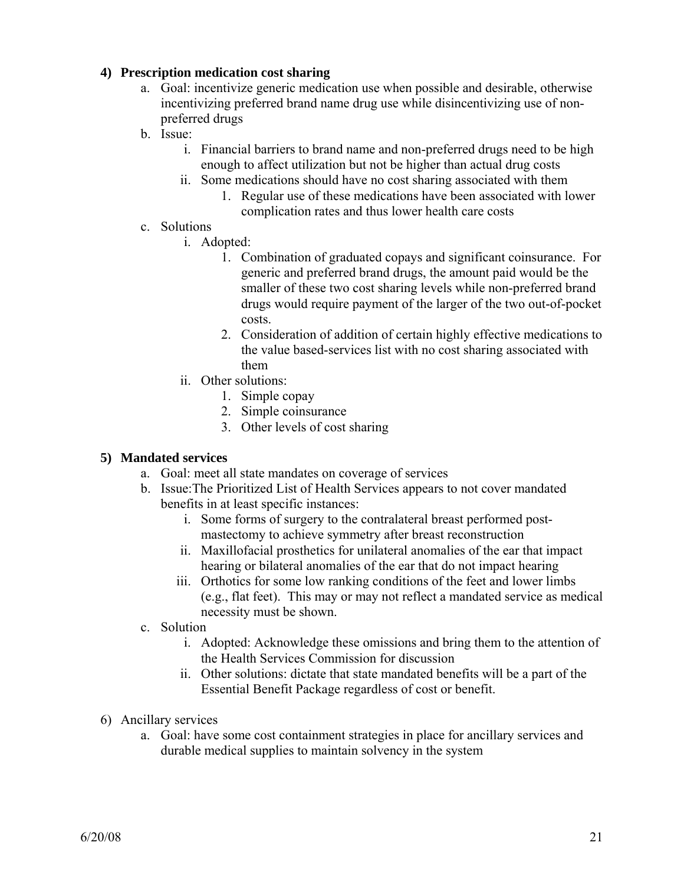### **4) Prescription medication cost sharing**

- a. Goal: incentivize generic medication use when possible and desirable, otherwise incentivizing preferred brand name drug use while disincentivizing use of nonpreferred drugs
- b. Issue:
	- i. Financial barriers to brand name and non-preferred drugs need to be high enough to affect utilization but not be higher than actual drug costs
	- ii. Some medications should have no cost sharing associated with them
		- 1. Regular use of these medications have been associated with lower complication rates and thus lower health care costs
- c. Solutions
	- i. Adopted:
		- 1. Combination of graduated copays and significant coinsurance. For generic and preferred brand drugs, the amount paid would be the smaller of these two cost sharing levels while non-preferred brand drugs would require payment of the larger of the two out-of-pocket costs.
		- 2. Consideration of addition of certain highly effective medications to the value based-services list with no cost sharing associated with them
	- ii. Other solutions:
		- 1. Simple copay
		- 2. Simple coinsurance
		- 3. Other levels of cost sharing

### **5) Mandated services**

- a. Goal: meet all state mandates on coverage of services
- b. Issue:The Prioritized List of Health Services appears to not cover mandated benefits in at least specific instances:
	- i. Some forms of surgery to the contralateral breast performed postmastectomy to achieve symmetry after breast reconstruction
	- ii. Maxillofacial prosthetics for unilateral anomalies of the ear that impact hearing or bilateral anomalies of the ear that do not impact hearing
	- iii. Orthotics for some low ranking conditions of the feet and lower limbs (e.g., flat feet). This may or may not reflect a mandated service as medical necessity must be shown.
- c. Solution
	- i. Adopted: Acknowledge these omissions and bring them to the attention of the Health Services Commission for discussion
	- ii. Other solutions: dictate that state mandated benefits will be a part of the Essential Benefit Package regardless of cost or benefit.
- 6) Ancillary services
	- a. Goal: have some cost containment strategies in place for ancillary services and durable medical supplies to maintain solvency in the system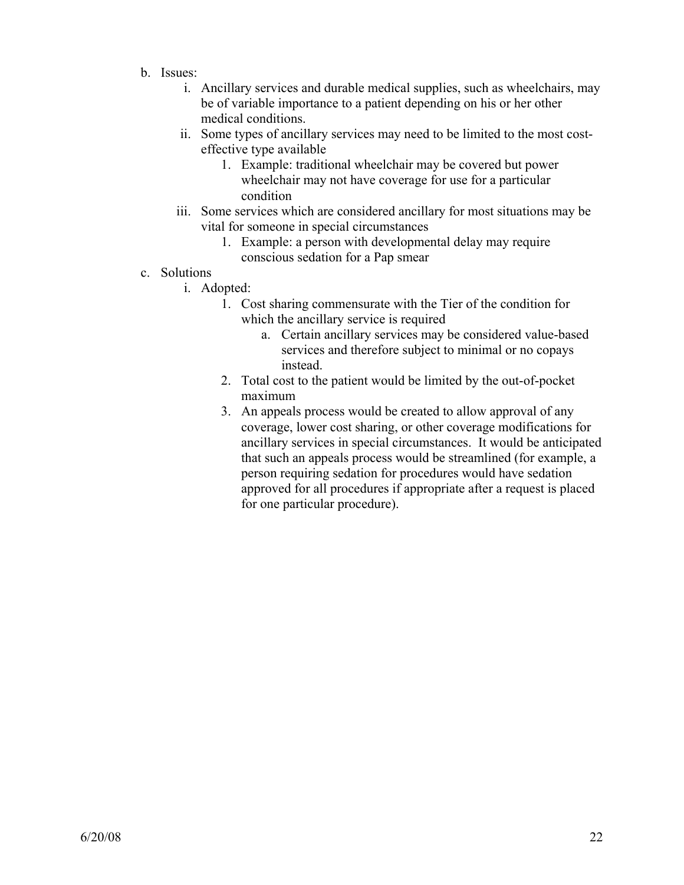- b. Issues:
	- i. Ancillary services and durable medical supplies, such as wheelchairs, may be of variable importance to a patient depending on his or her other medical conditions.
	- ii. Some types of ancillary services may need to be limited to the most costeffective type available
		- 1. Example: traditional wheelchair may be covered but power wheelchair may not have coverage for use for a particular condition
	- iii. Some services which are considered ancillary for most situations may be vital for someone in special circumstances
		- 1. Example: a person with developmental delay may require conscious sedation for a Pap smear
- c. Solutions
	- i. Adopted:
		- 1. Cost sharing commensurate with the Tier of the condition for which the ancillary service is required
			- a. Certain ancillary services may be considered value-based services and therefore subject to minimal or no copays instead.
		- 2. Total cost to the patient would be limited by the out-of-pocket maximum
		- 3. An appeals process would be created to allow approval of any coverage, lower cost sharing, or other coverage modifications for ancillary services in special circumstances. It would be anticipated that such an appeals process would be streamlined (for example, a person requiring sedation for procedures would have sedation approved for all procedures if appropriate after a request is placed for one particular procedure).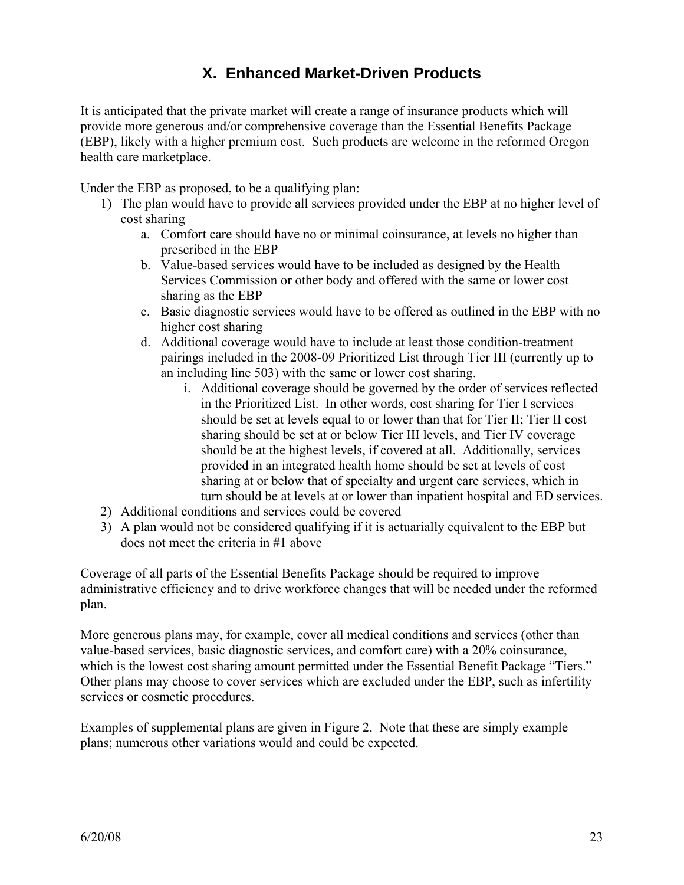## **X. Enhanced Market-Driven Products**

It is anticipated that the private market will create a range of insurance products which will provide more generous and/or comprehensive coverage than the Essential Benefits Package (EBP), likely with a higher premium cost. Such products are welcome in the reformed Oregon health care marketplace.

Under the EBP as proposed, to be a qualifying plan:

- 1) The plan would have to provide all services provided under the EBP at no higher level of cost sharing
	- a. Comfort care should have no or minimal coinsurance, at levels no higher than prescribed in the EBP
	- b. Value-based services would have to be included as designed by the Health Services Commission or other body and offered with the same or lower cost sharing as the EBP
	- c. Basic diagnostic services would have to be offered as outlined in the EBP with no higher cost sharing
	- d. Additional coverage would have to include at least those condition-treatment pairings included in the 2008-09 Prioritized List through Tier III (currently up to an including line 503) with the same or lower cost sharing.
		- i. Additional coverage should be governed by the order of services reflected in the Prioritized List. In other words, cost sharing for Tier I services should be set at levels equal to or lower than that for Tier II; Tier II cost sharing should be set at or below Tier III levels, and Tier IV coverage should be at the highest levels, if covered at all. Additionally, services provided in an integrated health home should be set at levels of cost sharing at or below that of specialty and urgent care services, which in turn should be at levels at or lower than inpatient hospital and ED services.
- 2) Additional conditions and services could be covered
- 3) A plan would not be considered qualifying if it is actuarially equivalent to the EBP but does not meet the criteria in #1 above

Coverage of all parts of the Essential Benefits Package should be required to improve administrative efficiency and to drive workforce changes that will be needed under the reformed plan.

More generous plans may, for example, cover all medical conditions and services (other than value-based services, basic diagnostic services, and comfort care) with a 20% coinsurance, which is the lowest cost sharing amount permitted under the Essential Benefit Package "Tiers." Other plans may choose to cover services which are excluded under the EBP, such as infertility services or cosmetic procedures.

Examples of supplemental plans are given in Figure 2. Note that these are simply example plans; numerous other variations would and could be expected.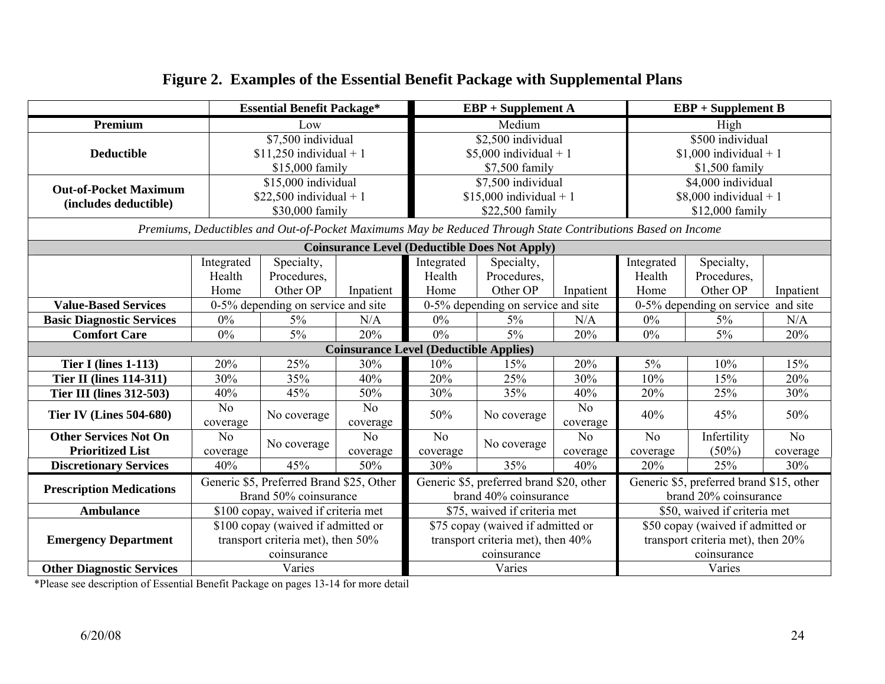|                                  |                                          | <b>Essential Benefit Package*</b>                            |                |                                               | $EBP + Supplement A$                                                                                        |                 | $EBP + Supplement B$               |                                          |                 |  |
|----------------------------------|------------------------------------------|--------------------------------------------------------------|----------------|-----------------------------------------------|-------------------------------------------------------------------------------------------------------------|-----------------|------------------------------------|------------------------------------------|-----------------|--|
| Premium                          |                                          | Low                                                          |                |                                               | Medium                                                                                                      |                 |                                    | High                                     |                 |  |
|                                  |                                          | \$7,500 individual                                           |                |                                               | \$2,500 individual                                                                                          |                 | \$500 individual                   |                                          |                 |  |
| <b>Deductible</b>                |                                          | $$11,250$ individual + 1                                     |                |                                               | \$5,000 individual + 1                                                                                      |                 |                                    | $$1,000$ individual + 1                  |                 |  |
|                                  |                                          | \$15,000 family                                              |                |                                               | \$7,500 family                                                                                              |                 | \$1,500 family                     |                                          |                 |  |
| <b>Out-of-Pocket Maximum</b>     |                                          | \$15,000 individual                                          |                |                                               | \$7,500 individual                                                                                          |                 |                                    | \$4,000 individual                       |                 |  |
| (includes deductible)            |                                          | $$22,500$ individual + 1                                     |                |                                               | $$15,000$ individual + 1                                                                                    |                 |                                    | $$8,000$ individual + 1                  |                 |  |
|                                  |                                          | \$30,000 family                                              |                |                                               | \$22,500 family                                                                                             |                 |                                    | \$12,000 family                          |                 |  |
|                                  |                                          |                                                              |                |                                               | Premiums, Deductibles and Out-of-Pocket Maximums May be Reduced Through State Contributions Based on Income |                 |                                    |                                          |                 |  |
|                                  |                                          |                                                              |                |                                               | <b>Coinsurance Level (Deductible Does Not Apply)</b>                                                        |                 |                                    |                                          |                 |  |
|                                  | Integrated                               | Specialty,                                                   |                | Integrated                                    | Specialty,                                                                                                  |                 | Integrated                         | Specialty,                               |                 |  |
|                                  | Health                                   | Procedures,                                                  |                | Health                                        | Procedures,                                                                                                 |                 | Health                             | Procedures,                              |                 |  |
|                                  | Home                                     | Other OP                                                     | Inpatient      | Home                                          | Other OP<br>Inpatient                                                                                       |                 | Home                               | Other OP                                 | Inpatient       |  |
| <b>Value-Based Services</b>      |                                          | 0-5% depending on service and site                           |                |                                               | 0-5% depending on service and site                                                                          |                 | 0-5% depending on service and site |                                          |                 |  |
| <b>Basic Diagnostic Services</b> | $0\%$                                    | $5\%$                                                        | N/A            | $0\%$                                         | $5\%$<br>N/A                                                                                                |                 | $0\%$                              | $5\%$                                    | N/A             |  |
| <b>Comfort Care</b>              | 0%                                       | 5%                                                           | 20%            | 5%<br>$0\%$<br>20%                            |                                                                                                             | 0%              | $5\%$                              | 20%                                      |                 |  |
|                                  |                                          |                                                              |                | <b>Coinsurance Level (Deductible Applies)</b> |                                                                                                             |                 |                                    |                                          |                 |  |
| <b>Tier I (lines 1-113)</b>      | 20%                                      | 25%                                                          | 30%            | 10%                                           | 15%                                                                                                         | 20%             | 5%                                 | 10%                                      | 15%             |  |
| <b>Tier II (lines 114-311)</b>   | 30%                                      | 35%                                                          | 40%            | 20%                                           | 25%                                                                                                         | 30%             | 10%                                | 15%                                      | 20%             |  |
| <b>Tier III (lines 312-503)</b>  | 40%                                      | 45%                                                          | 50%            | 30%                                           | 35%                                                                                                         | 40%             | 20%                                | 25%                                      | 30%             |  |
| <b>Tier IV (Lines 504-680)</b>   | N <sub>o</sub>                           | No coverage                                                  | N <sub>0</sub> | 50%                                           | No coverage                                                                                                 | N <sub>0</sub>  | 40%                                | 45%                                      | 50%             |  |
|                                  | coverage                                 |                                                              | coverage       |                                               |                                                                                                             | coverage        |                                    |                                          |                 |  |
| <b>Other Services Not On</b>     | N <sub>o</sub>                           | No coverage                                                  | N <sub>o</sub> | No                                            | No coverage                                                                                                 | N <sub>o</sub>  | N <sub>o</sub>                     | Infertility                              | No              |  |
| <b>Prioritized List</b>          | coverage<br>40%                          | 45%                                                          | coverage       | coverage<br>30%                               | 35%                                                                                                         | coverage<br>40% | coverage                           | $(50\%)$<br>25%                          | coverage<br>30% |  |
| <b>Discretionary Services</b>    |                                          |                                                              | 50%            |                                               |                                                                                                             |                 | 20%                                |                                          |                 |  |
| <b>Prescription Medications</b>  | Generic \$5, Preferred Brand \$25, Other |                                                              |                |                                               | Generic \$5, preferred brand \$20, other                                                                    |                 |                                    | Generic \$5, preferred brand \$15, other |                 |  |
|                                  |                                          | Brand 50% coinsurance<br>\$100 copay, waived if criteria met |                |                                               | brand 40% coinsurance                                                                                       |                 |                                    | brand 20% coinsurance                    |                 |  |
| <b>Ambulance</b>                 |                                          |                                                              |                |                                               | \$75, waived if criteria met                                                                                |                 |                                    | \$50, waived if criteria met             |                 |  |
|                                  |                                          | \$100 copay (waived if admitted or                           |                |                                               | \$75 copay (waived if admitted or                                                                           |                 |                                    | \$50 copay (waived if admitted or        |                 |  |
| <b>Emergency Department</b>      |                                          | transport criteria met), then 50%                            |                |                                               | transport criteria met), then 40%                                                                           |                 |                                    | transport criteria met), then 20%        |                 |  |
|                                  |                                          | coinsurance                                                  |                |                                               | coinsurance                                                                                                 |                 |                                    | coinsurance                              |                 |  |
| <b>Other Diagnostic Services</b> |                                          | Varies                                                       |                |                                               | Varies                                                                                                      |                 | Varies                             |                                          |                 |  |

### **Fi gure 2. Exam ples of the Essential Benefit Packa ge with Supplemental Plans**

\*Please see description of Essential Benefit Package on pages 13-14 for more detail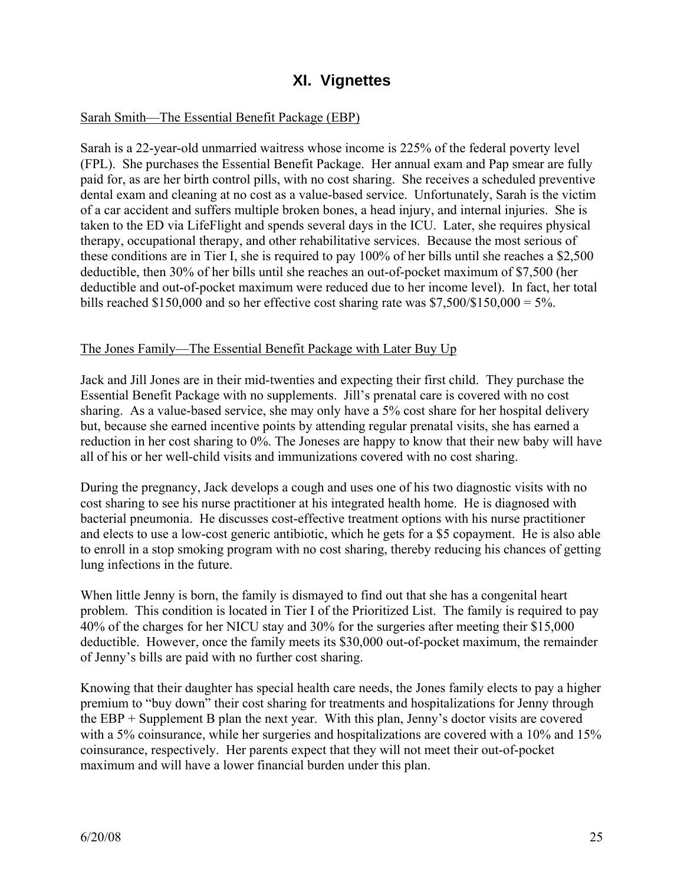### **XI. Vignettes**

### Sarah Smith—The Essential Benefit Package (EBP)

Sarah is a 22-year-old unmarried waitress whose income is 225% of the federal poverty level (FPL). She purchases the Essential Benefit Package. Her annual exam and Pap smear are fully paid for, as are her birth control pills, with no cost sharing. She receives a scheduled preventive dental exam and cleaning at no cost as a value-based service. Unfortunately, Sarah is the victim of a car accident and suffers multiple broken bones, a head injury, and internal injuries. She is taken to the ED via LifeFlight and spends several days in the ICU. Later, she requires physical therapy, occupational therapy, and other rehabilitative services. Because the most serious of these conditions are in Tier I, she is required to pay 100% of her bills until she reaches a \$2,500 deductible, then 30% of her bills until she reaches an out-of-pocket maximum of \$7,500 (her deductible and out-of-pocket maximum were reduced due to her income level). In fact, her total bills reached \$150,000 and so her effective cost sharing rate was  $$7,500/$150,000 = 5\%$ .

#### The Jones Family—The Essential Benefit Package with Later Buy Up

Jack and Jill Jones are in their mid-twenties and expecting their first child. They purchase the Essential Benefit Package with no supplements. Jill's prenatal care is covered with no cost sharing. As a value-based service, she may only have a 5% cost share for her hospital delivery but, because she earned incentive points by attending regular prenatal visits, she has earned a reduction in her cost sharing to 0%. The Joneses are happy to know that their new baby will have all of his or her well-child visits and immunizations covered with no cost sharing.

During the pregnancy, Jack develops a cough and uses one of his two diagnostic visits with no cost sharing to see his nurse practitioner at his integrated health home. He is diagnosed with bacterial pneumonia. He discusses cost-effective treatment options with his nurse practitioner and elects to use a low-cost generic antibiotic, which he gets for a \$5 copayment. He is also able to enroll in a stop smoking program with no cost sharing, thereby reducing his chances of getting lung infections in the future.

When little Jenny is born, the family is dismayed to find out that she has a congenital heart problem. This condition is located in Tier I of the Prioritized List. The family is required to pay 40% of the charges for her NICU stay and 30% for the surgeries after meeting their \$15,000 deductible. However, once the family meets its \$30,000 out-of-pocket maximum, the remainder of Jenny's bills are paid with no further cost sharing.

Knowing that their daughter has special health care needs, the Jones family elects to pay a higher premium to "buy down" their cost sharing for treatments and hospitalizations for Jenny through the EBP + Supplement B plan the next year. With this plan, Jenny's doctor visits are covered with a 5% coinsurance, while her surgeries and hospitalizations are covered with a 10% and 15% coinsurance, respectively. Her parents expect that they will not meet their out-of-pocket maximum and will have a lower financial burden under this plan.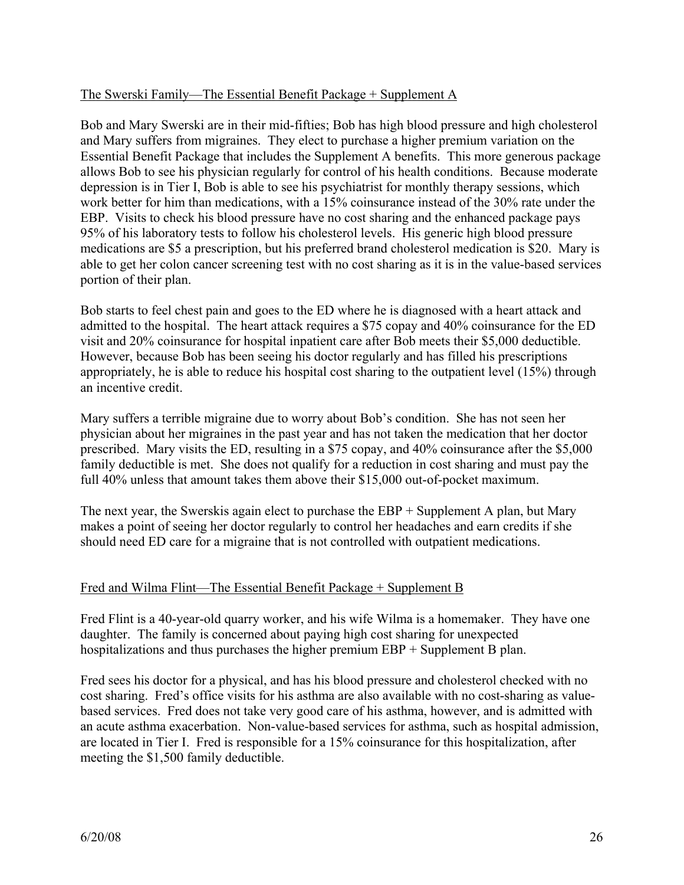### The Swerski Family—The Essential Benefit Package + Supplement A

Bob and Mary Swerski are in their mid-fifties; Bob has high blood pressure and high cholesterol and Mary suffers from migraines. They elect to purchase a higher premium variation on the Essential Benefit Package that includes the Supplement A benefits. This more generous package allows Bob to see his physician regularly for control of his health conditions. Because moderate depression is in Tier I, Bob is able to see his psychiatrist for monthly therapy sessions, which work better for him than medications, with a 15% coinsurance instead of the 30% rate under the EBP. Visits to check his blood pressure have no cost sharing and the enhanced package pays 95% of his laboratory tests to follow his cholesterol levels. His generic high blood pressure medications are \$5 a prescription, but his preferred brand cholesterol medication is \$20. Mary is able to get her colon cancer screening test with no cost sharing as it is in the value-based services portion of their plan.

Bob starts to feel chest pain and goes to the ED where he is diagnosed with a heart attack and admitted to the hospital. The heart attack requires a \$75 copay and 40% coinsurance for the ED visit and 20% coinsurance for hospital inpatient care after Bob meets their \$5,000 deductible. However, because Bob has been seeing his doctor regularly and has filled his prescriptions appropriately, he is able to reduce his hospital cost sharing to the outpatient level (15%) through an incentive credit.

Mary suffers a terrible migraine due to worry about Bob's condition. She has not seen her physician about her migraines in the past year and has not taken the medication that her doctor prescribed. Mary visits the ED, resulting in a \$75 copay, and 40% coinsurance after the \$5,000 family deductible is met. She does not qualify for a reduction in cost sharing and must pay the full 40% unless that amount takes them above their \$15,000 out-of-pocket maximum.

The next year, the Swerskis again elect to purchase the EBP + Supplement A plan, but Mary makes a point of seeing her doctor regularly to control her headaches and earn credits if she should need ED care for a migraine that is not controlled with outpatient medications.

#### Fred and Wilma Flint—The Essential Benefit Package + Supplement B

Fred Flint is a 40-year-old quarry worker, and his wife Wilma is a homemaker. They have one daughter. The family is concerned about paying high cost sharing for unexpected hospitalizations and thus purchases the higher premium EBP + Supplement B plan.

Fred sees his doctor for a physical, and has his blood pressure and cholesterol checked with no cost sharing. Fred's office visits for his asthma are also available with no cost-sharing as valuebased services. Fred does not take very good care of his asthma, however, and is admitted with an acute asthma exacerbation. Non-value-based services for asthma, such as hospital admission, are located in Tier I. Fred is responsible for a 15% coinsurance for this hospitalization, after meeting the \$1,500 family deductible.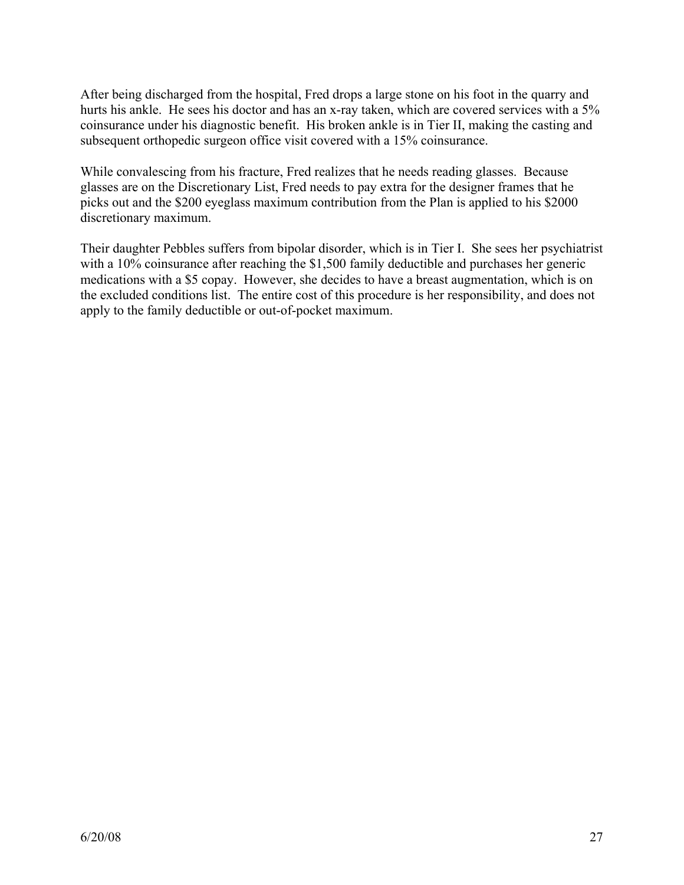After being discharged from the hospital, Fred drops a large stone on his foot in the quarry and hurts his ankle. He sees his doctor and has an x-ray taken, which are covered services with a 5% coinsurance under his diagnostic benefit. His broken ankle is in Tier II, making the casting and subsequent orthopedic surgeon office visit covered with a 15% coinsurance.

While convalescing from his fracture, Fred realizes that he needs reading glasses. Because glasses are on the Discretionary List, Fred needs to pay extra for the designer frames that he picks out and the \$200 eyeglass maximum contribution from the Plan is applied to his \$2000 discretionary maximum.

Their daughter Pebbles suffers from bipolar disorder, which is in Tier I. She sees her psychiatrist with a 10% coinsurance after reaching the \$1,500 family deductible and purchases her generic medications with a \$5 copay. However, she decides to have a breast augmentation, which is on the excluded conditions list. The entire cost of this procedure is her responsibility, and does not apply to the family deductible or out-of-pocket maximum.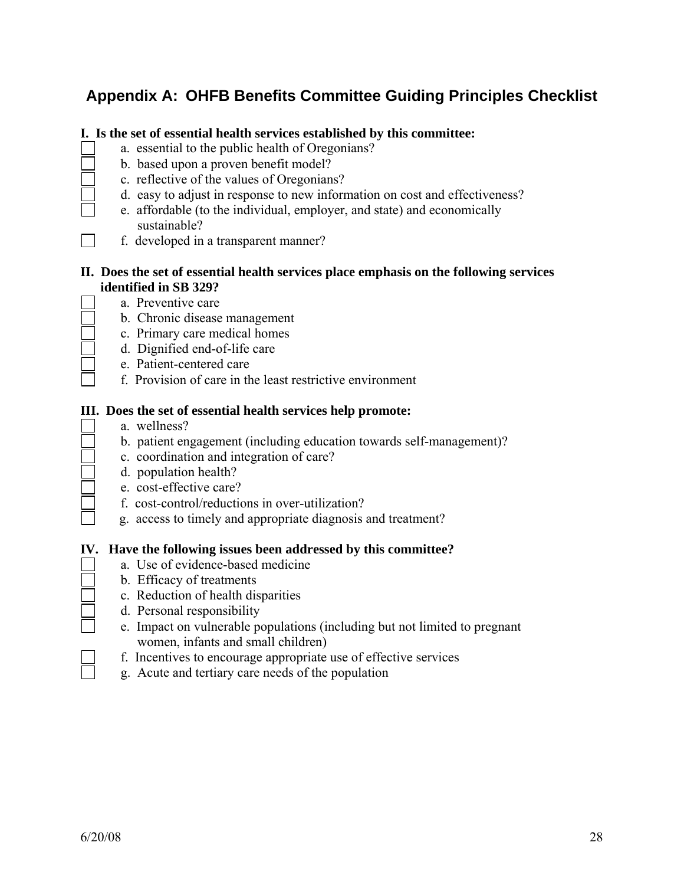## **Appendix A: OHFB Benefits Committee Guiding Principles Checklist**

#### **I. Is the set of essential health services established by this committee:**

- a. essential to the public health of Oregonians?
- b. based upon a proven benefit model?
- c. reflective of the values of Oregonians?
- d. easy to adjust in response to new information on cost and effectiveness?
	- e. affordable (to the individual, employer, and state) and economically sustainable?
- f. developed in a transparent manner?

#### **II. Does the set of essential health services place emphasis on the following services identified in SB 329?**

- a. Preventive care
- b. Chronic disease management
- c. Primary care medical homes
- d. Dignified end-of-life care
- e. Patient-centered care
- f. Provision of care in the least restrictive environment

#### **III. Does the set of essential health services help promote:**

- a. wellness?
- b. patient engagement (including education towards self-management)?
- c. coordination and integration of care?
- d. population health?
- e. cost-effective care?
- f. cost-control/reductions in over-utilization?
- g. access to timely and appropriate diagnosis and treatment?

#### **IV. Have the following issues been addressed by this committee?**

- a. Use of evidence-based medicine
- b. Efficacy of treatments
- c. Reduction of health disparities
- d. Personal responsibility
- e. Impact on vulnerable populations (including but not limited to pregnant women, infants and small children)
- f. Incentives to encourage appropriate use of effective services
- g. Acute and tertiary care needs of the population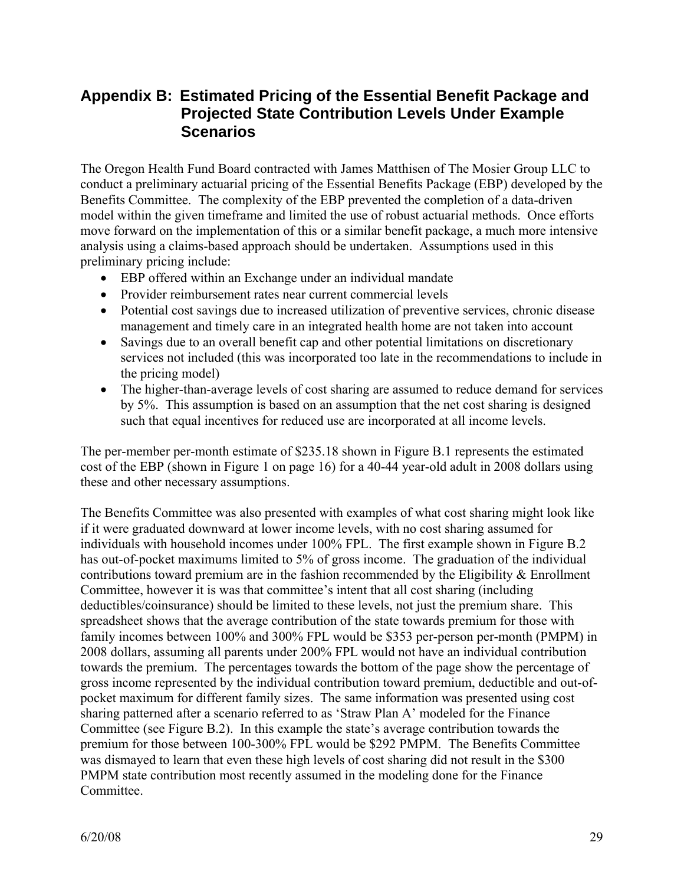### **Appendix B: Estimated Pricing of the Essential Benefit Package and Projected State Contribution Levels Under Example Scenarios**

The Oregon Health Fund Board contracted with James Matthisen of The Mosier Group LLC to conduct a preliminary actuarial pricing of the Essential Benefits Package (EBP) developed by the Benefits Committee. The complexity of the EBP prevented the completion of a data-driven model within the given timeframe and limited the use of robust actuarial methods. Once efforts move forward on the implementation of this or a similar benefit package, a much more intensive analysis using a claims-based approach should be undertaken. Assumptions used in this preliminary pricing include:

- EBP offered within an Exchange under an individual mandate
- Provider reimbursement rates near current commercial levels
- Potential cost savings due to increased utilization of preventive services, chronic disease management and timely care in an integrated health home are not taken into account
- Savings due to an overall benefit cap and other potential limitations on discretionary services not included (this was incorporated too late in the recommendations to include in the pricing model)
- The higher-than-average levels of cost sharing are assumed to reduce demand for services by 5%. This assumption is based on an assumption that the net cost sharing is designed such that equal incentives for reduced use are incorporated at all income levels.

The per-member per-month estimate of \$235.18 shown in Figure B.1 represents the estimated cost of the EBP (shown in Figure 1 on page 16) for a 40-44 year-old adult in 2008 dollars using these and other necessary assumptions.

The Benefits Committee was also presented with examples of what cost sharing might look like if it were graduated downward at lower income levels, with no cost sharing assumed for individuals with household incomes under 100% FPL. The first example shown in Figure B.2 has out-of-pocket maximums limited to 5% of gross income. The graduation of the individual contributions toward premium are in the fashion recommended by the Eligibility  $\&$  Enrollment Committee, however it is was that committee's intent that all cost sharing (including deductibles/coinsurance) should be limited to these levels, not just the premium share. This spreadsheet shows that the average contribution of the state towards premium for those with family incomes between 100% and 300% FPL would be \$353 per-person per-month (PMPM) in 2008 dollars, assuming all parents under 200% FPL would not have an individual contribution towards the premium. The percentages towards the bottom of the page show the percentage of gross income represented by the individual contribution toward premium, deductible and out-ofpocket maximum for different family sizes. The same information was presented using cost sharing patterned after a scenario referred to as 'Straw Plan A' modeled for the Finance Committee (see Figure B.2). In this example the state's average contribution towards the premium for those between 100-300% FPL would be \$292 PMPM. The Benefits Committee was dismayed to learn that even these high levels of cost sharing did not result in the \$300 PMPM state contribution most recently assumed in the modeling done for the Finance Committee.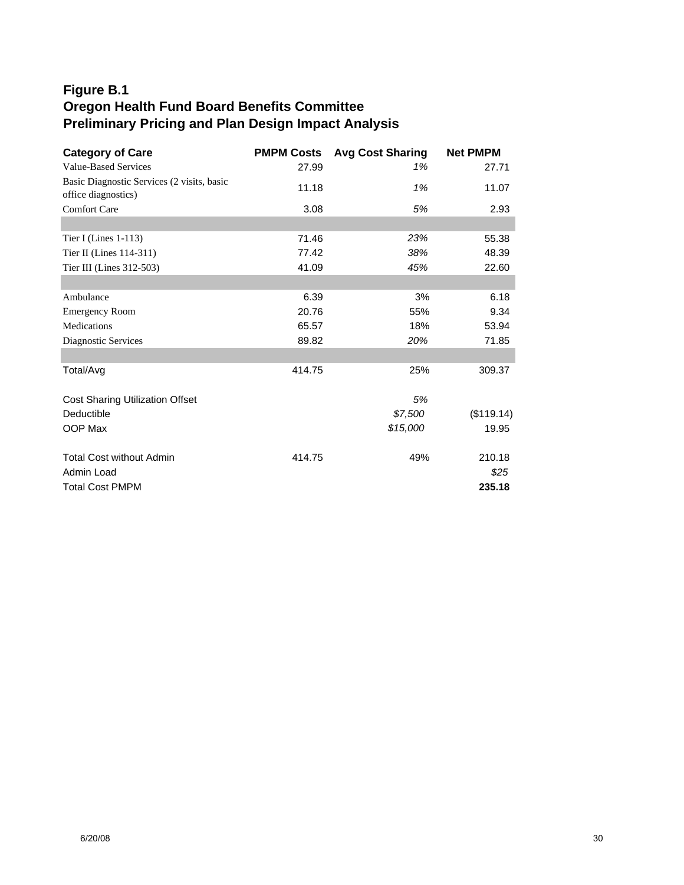### **Figure B.1 Oregon Health Fund Board Benefits Committee Preliminary Pricing and Plan Design Impact Analysis**

| <b>Category of Care</b>                    | <b>PMPM Costs</b> | <b>Avg Cost Sharing</b> | <b>Net PMPM</b> |
|--------------------------------------------|-------------------|-------------------------|-----------------|
| <b>Value-Based Services</b>                | 27.99             | 1%                      | 27.71           |
| Basic Diagnostic Services (2 visits, basic | 11.18             | 1%                      | 11.07           |
| office diagnostics)                        |                   |                         |                 |
| <b>Comfort Care</b>                        | 3.08              | 5%                      | 2.93            |
| Tier I (Lines 1-113)                       | 71.46             | 23%                     | 55.38           |
| Tier II (Lines 114-311)                    | 77.42             | 38%                     | 48.39           |
| Tier III (Lines 312-503)                   | 41.09             | 45%                     | 22.60           |
|                                            |                   |                         |                 |
| Ambulance                                  | 6.39              | 3%                      | 6.18            |
| <b>Emergency Room</b>                      | 20.76             | 55%                     | 9.34            |
| Medications                                | 65.57             | 18%                     | 53.94           |
| Diagnostic Services                        | 89.82             | 20%                     | 71.85           |
|                                            |                   |                         |                 |
| Total/Avg                                  | 414.75            | 25%                     | 309.37          |
| <b>Cost Sharing Utilization Offset</b>     |                   | 5%                      |                 |
| Deductible                                 |                   | \$7,500                 | (\$119.14)      |
| OOP Max                                    |                   | \$15,000                | 19.95           |
|                                            |                   |                         |                 |
| <b>Total Cost without Admin</b>            | 414.75            | 49%                     | 210.18          |
| Admin Load                                 |                   |                         | \$25            |
| <b>Total Cost PMPM</b>                     |                   |                         | 235.18          |
|                                            |                   |                         |                 |
|                                            |                   |                         |                 |
|                                            |                   |                         |                 |
|                                            |                   |                         |                 |
|                                            |                   |                         |                 |
|                                            |                   |                         |                 |
|                                            |                   |                         |                 |
|                                            |                   |                         |                 |
|                                            |                   |                         |                 |
|                                            |                   |                         |                 |
|                                            |                   |                         |                 |
|                                            |                   |                         |                 |
|                                            |                   |                         |                 |
|                                            |                   |                         |                 |
|                                            |                   |                         |                 |
|                                            |                   |                         |                 |
|                                            |                   |                         |                 |
|                                            |                   |                         |                 |
|                                            |                   |                         |                 |
| 6/20/08                                    |                   |                         |                 |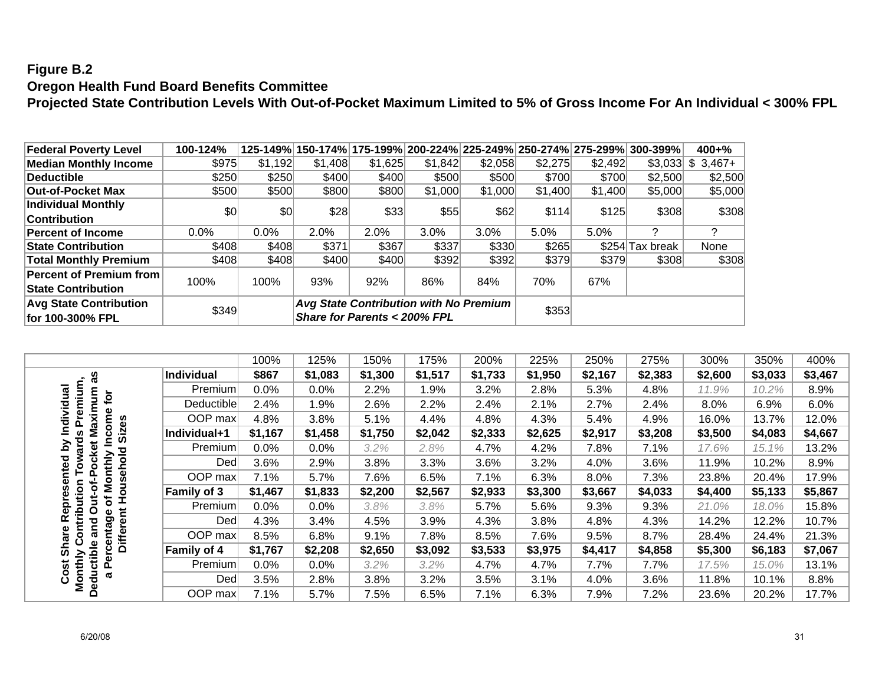## **Figure B.2 Oregon Health Fund Board Benefits Committee**

**Projected State Contribution Levels With Out-of-Pocket Maximum Limited to 5% of Gross Income For An Individual < 300% FPL**

| Federal Poverty Level          | 100-124% |         |         |                                        |         |         |         |         | 125-149% 150-174% 175-199% 200-224% 225-249% 250-274% 275-299% 300-399% 1 | $400 + \%$         |
|--------------------------------|----------|---------|---------|----------------------------------------|---------|---------|---------|---------|---------------------------------------------------------------------------|--------------------|
| <b>Median Monthly Income</b>   | \$975    | \$1,192 | \$1,408 | \$1,625                                | \$1,842 | \$2,058 | \$2,275 | \$2,492 |                                                                           | $$3,033$ $$3,467+$ |
| Deductible                     | \$250    | \$250   | \$400   | \$400                                  | \$500   | \$500   | \$700   | \$700   | \$2,500                                                                   | \$2,500            |
| <b>Out-of-Pocket Max</b>       | \$500    | \$500   | \$800   | \$800                                  | \$1,000 | \$1,000 | \$1,400 | \$1,400 | \$5,000                                                                   | \$5,000            |
| <b>Individual Monthly</b>      | \$0      | \$0     | \$28    | \$33]                                  | \$55    | \$62    | \$114   | \$125   | \$308                                                                     | \$308              |
| <b>Contribution</b>            |          |         |         |                                        |         |         |         |         |                                                                           |                    |
| <b>Percent of Income</b>       | $0.0\%$  | $0.0\%$ | 2.0%    | 2.0%                                   | 3.0%    | 3.0%    | 5.0%    | 5.0%    | っ                                                                         | っ                  |
| <b>State Contribution</b>      | \$408    | \$408   | \$371   | \$367                                  | \$337   | \$330   | \$265   |         | \$254 Tax break                                                           | None               |
| <b>Total Monthly Premium</b>   | \$408    | \$408   | \$400   | \$400                                  | \$392   | \$392   | \$379   | \$379   | \$308                                                                     | \$308              |
| <b>Percent of Premium from</b> |          |         |         |                                        |         |         |         |         |                                                                           |                    |
| <b>State Contribution</b>      | 100%     | 100%    | 93%     | 92%                                    | 86%     | 84%     | 70%     | 67%     |                                                                           |                    |
| <b>Avg State Contribution</b>  |          |         |         | Avg State Contribution with No Premium |         |         |         |         |                                                                           |                    |
| for 100-300% FPL               | \$349    |         |         | Share for Parents < 200% FPL           |         |         | \$353   |         |                                                                           |                    |

|                                     |                   | 100%    | 125%    | 150%    | 175%    | 200%    | 225%    | 250%    | 275%    | 300%    | 350%    | 400%    |
|-------------------------------------|-------------------|---------|---------|---------|---------|---------|---------|---------|---------|---------|---------|---------|
| æ                                   | <b>Individual</b> | \$867   | \$1,083 | \$1,300 | \$1,517 | \$1,733 | \$1,950 | \$2,167 | \$2,383 | \$2,600 | \$3,033 | \$3,467 |
| ŏ                                   | Premium           | 0.0%    | 0.0%    | 2.2%    | 1.9%    | 3.2%    | 2.8%    | 5.3%    | 4.8%    | 11.9%   | 10.2%   | 8.9%    |
| Ē                                   | Deductible        | 2.4%    | 1.9%    | 2.6%    | 2.2%    | 2.4%    | 2.1%    | 2.7%    | 2.4%    | 8.0%    | 6.9%    | 6.0%    |
| dividual<br>aximum<br>ome           | OOP max           | 4.8%    | 3.8%    | 5.1%    | 4.4%    | 4.8%    | 4.3%    | 5.4%    | 4.9%    | 16.0%   | 13.7%   | 12.0%   |
| Siz<br>Σ<br>ပ                       | Individual+1      | \$1,167 | \$1,458 | \$1,750 | \$2,042 | \$2,333 | \$2,625 | \$2,917 | \$3,208 | \$3,500 | \$4,083 | \$4,667 |
| Pocket<br><u>হ</u><br>ត<br>ਠ        | Premium           | 0.0%    | 0.0%    | 3.2%    | 2.8%    | 4.7%    | 4.2%    | 7.8%    | 7.1%    | 17.6%   | 15.1%   | 13.2%   |
| nthly<br>nted<br>š                  | Ded               | 3.6%    | 2.9%    | 3.8%    | 3.3%    | 3.6%    | 3.2%    | 4.0%    | 3.6%    | 11.9%   | 10.2%   | 8.9%    |
| $\overline{\mathsf{s}}$             | OOP max           | 7.1%    | 5.7%    | 7.6%    | 6.5%    | 7.1%    | 6.3%    | 8.0%    | 7.3%    | 23.8%   | 20.4%   | 17.9%   |
| ъ<br>۰<br>ō                         | Family of 3       | \$1,467 | \$1,833 | \$2,200 | \$2,567 | \$2,933 | \$3,300 | \$3,667 | \$4,033 | \$4,400 | \$5,133 | \$5,867 |
| epre<br>Ś<br>ð<br>Ō                 | Premium           | 0.0%    | 0.0%    | 3.8%    | 3.8%    | 5.7%    | 5.6%    | 9.3%    | 9.3%    | 21.0%   | 18.0%   | 15.8%   |
| <b>ntrib</b><br>9e<br>œ<br>and<br>ω | Ded               | 4.3%    | 3.4%    | 4.5%    | 3.9%    | 4.3%    | 3.8%    | 4.8%    | 4.3%    | 14.2%   | 12.2%   | 10.7%   |
| rcenta<br>ၑ<br>Ĕ<br>ಹ               | OOP max           | 8.5%    | 6.8%    | 9.1%    | 7.8%    | 8.5%    | 7.6%    | 9.5%    | 8.7%    | 28.4%   | 24.4%   | 21.3%   |
| စ်                                  | Family of 4       | \$1,767 | \$2,208 | \$2,650 | \$3,092 | \$3,533 | \$3,975 | \$4,417 | \$4,858 | \$5,300 | \$6,183 | \$7,067 |
| Deductible<br>Monthly<br>Cost<br>Ñ. | Premium           | 0.0%    | 0.0%    | 3.2%    | 3.2%    | 4.7%    | 4.7%    | 7.7%    | 7.7%    | 17.5%   | 15.0%   | 13.1%   |
| ℼ                                   | Dedl              | 3.5%    | 2.8%    | 3.8%    | 3.2%    | 3.5%    | 3.1%    | 4.0%    | 3.6%    | 11.8%   | 10.1%   | 8.8%    |
|                                     | OOP max           | 7.1%    | 5.7%    | 7.5%    | 6.5%    | 7.1%    | 6.3%    | 7.9%    | 7.2%    | 23.6%   | 20.2%   | 17.7%   |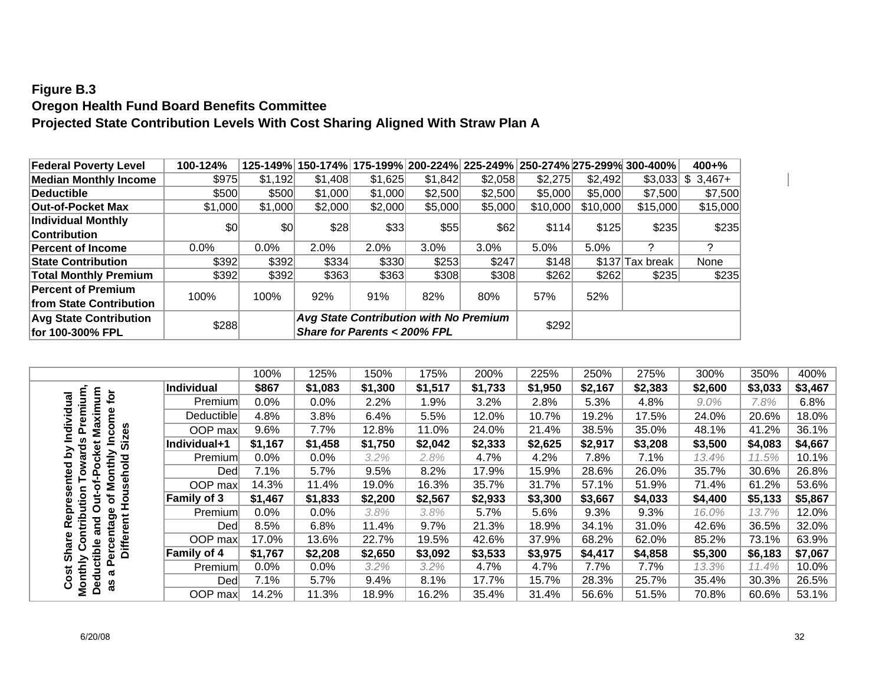### **Figure B.3 Oregon Health Fund Board Benefits Committee Projected State Contribution Levels With Cost Sharing Aligned With Straw Plan A**

| <b>Federal Poverty Level</b>  | 100-124% |         |                                               |         |         |         |          |          | 125-149% 150-174% 175-199% 200-224% 225-249% 250-274% 275-299% 300-400% | $400 + \%$         |
|-------------------------------|----------|---------|-----------------------------------------------|---------|---------|---------|----------|----------|-------------------------------------------------------------------------|--------------------|
| <b>Median Monthly Income</b>  | \$975    | \$1,192 | \$1,408                                       | \$1,625 | \$1,842 | \$2,058 | \$2,275  | \$2,492  |                                                                         | $$3,033$ $$3,467+$ |
| Deductible                    | \$500    | \$500   | \$1,000                                       | \$1,000 | \$2,500 | \$2,500 | \$5,000  | \$5,000  | \$7,500                                                                 | \$7,500            |
| Out-of-Pocket Max             | \$1,000  | \$1,000 | \$2,000                                       | \$2,000 | \$5,000 | \$5,000 | \$10,000 | \$10,000 | \$15,000                                                                | \$15,000           |
| Individual Monthly            | \$0      | 30      | \$28                                          | \$33    | \$55    | \$62    | \$114    | \$125    | \$235                                                                   | \$235              |
| <b>Contribution</b>           |          |         |                                               |         |         |         |          |          |                                                                         |                    |
| <b>Percent of Income</b>      | 0.0%     | $0.0\%$ | 2.0%                                          | 2.0%    | 3.0%    | 3.0%    | 5.0%     | 5.0%     | っ                                                                       | っ                  |
| <b>State Contribution</b>     | \$392    | \$392   | \$334                                         | \$330   | \$253   | \$247   | \$148    |          | \$137 Tax break                                                         | None               |
| <b>Total Monthly Premium</b>  | \$392    | \$392   | \$363                                         | \$363   | \$308   | \$308   | \$262    | \$262    | \$235                                                                   | \$235              |
| <b>Percent of Premium</b>     | 100%     |         | 92%                                           | 91%     | 82%     | 80%     |          | 52%      |                                                                         |                    |
| from State Contribution       |          | 100%    |                                               |         |         |         | 57%      |          |                                                                         |                    |
| <b>Avg State Contribution</b> |          |         | <b>Avg State Contribution with No Premium</b> |         |         |         |          |          |                                                                         |                    |
| for 100-300% FPL              | \$288    |         | Share for Parents < 200% FPL                  |         |         |         | \$292    |          |                                                                         |                    |

|                                     |              | 100%    | 125%    | 150%    | 175%    | 200%    | 225%    | 250%    | 275%    | 300%    | 350%    | 400%    |
|-------------------------------------|--------------|---------|---------|---------|---------|---------|---------|---------|---------|---------|---------|---------|
| ξ<br>$\overline{\sigma}$            | Individual   | \$867   | \$1,083 | \$1,300 | \$1,517 | \$1,733 | \$1,950 | \$2,167 | \$2,383 | \$2,600 | \$3,033 | \$3,467 |
| ξ<br>$\overline{\overline{a}}$      | Premium      | 0.0%    | 0.0%    | 2.2%    | 9%.ا    | 3.2%    | 2.8%    | 5.3%    | 4.8%    | $9.0\%$ | 7.8%    | 6.8%    |
| Maxim<br><u>호</u><br>Ê              | Deductible   | 4.8%    | 3.8%    | 6.4%    | 5.5%    | 12.0%   | 10.7%   | 19.2%   | 17.5%   | 24.0%   | 20.6%   | 18.0%   |
| 듷<br>Δ                              | OOP max      | 9.6%    | 7.7%    | 12.8%   | 11.0%   | 24.0%   | 21.4%   | 38.5%   | 35.0%   | 48.1%   | 41.2%   | 36.1%   |
| Siz<br>ēX<br>ਠ                      | Individual+1 | \$1,167 | \$1,458 | \$1,750 | \$2,042 | \$2,333 | \$2,625 | \$2,917 | \$3,208 | \$3,500 | \$4,083 | \$4,667 |
| ີລ<br>ਹ<br>6<br>ਠ                   | Premium      | 0.0%    | 0.0%    | 3.2%    | 2.8%    | 4.7%    | 4.2%    | 7.8%    | 7.1%    | 13.4%   | 11.5%   | 10.1%   |
| 횬<br>٥<br>ğ,<br>n<br>$\circ$<br>٥   | Ded          | 7.1%    | 5.7%    | 9.5%    | 8.2%    | 17.9%   | 15.9%   | 28.6%   | 26.0%   | 35.7%   | 30.6%   | 26.8%   |
| of-l<br>Σ                           | OOP max      | 14.3%   | 11.4%   | 19.0%   | 16.3%   | 35.7%   | 31.7%   | 57.1%   | 51.9%   | 71.4%   | 61.2%   | 53.6%   |
| 읖<br>Ś<br>৳<br>o                    | Family of 3  | \$1,467 | \$1,833 | \$2,200 | \$2,567 | \$2,933 | \$3,300 | \$3,667 | \$4,033 | \$4,400 | \$5,133 | \$5,867 |
| Ω<br>ω                              | Premium      | $0.0\%$ | 0.0%    | 3.8%    | 3.8%    | 5.7%    | 5.6%    | 9.3%    | 9.3%    | 16.0%   | 13.7%   | 12.0%   |
| diri<br><b>g</b><br>pq<br>ē<br>ಹ    | Ded          | 8.5%    | 6.8%    | 11.4%   | 9.7%    | 21.3%   | 18.9%   | 34.1%   | 31.0%   | 42.6%   | 36.5%   | 32.0%   |
| Φ<br>ಹ                              | OOP max      | 17.0%   | 13.6%   | 22.7%   | 19.5%   | 42.6%   | 37.9%   | 68.2%   | 62.0%   | 85.2%   | 73.1%   | 63.9%   |
| Ĕ<br>ں<br>ō<br>ທ                    | Family of 4  | \$1,767 | \$2,208 | \$2,650 | \$3,092 | \$3,533 | \$3,975 | \$4,417 | \$4,858 | \$5,300 | \$6,183 | \$7,067 |
| ത                                   | Premium      | $0.0\%$ | 0.0%    | 3.2%    | 3.2%    | 4.7%    | 4.7%    | 7.7%    | 7.7%    | 13.3%   | 11.4%   | 10.0%   |
| Deductible<br>Monthly<br>Cost<br>3g | Ded          | 7.1%    | 5.7%    | 9.4%    | 8.1%    | 17.7%   | 15.7%   | 28.3%   | 25.7%   | 35.4%   | 30.3%   | 26.5%   |
|                                     | OOP max      | 14.2%   | 11.3%   | 18.9%   | 16.2%   | 35.4%   | 31.4%   | 56.6%   | 51.5%   | 70.8%   | 60.6%   | 53.1%   |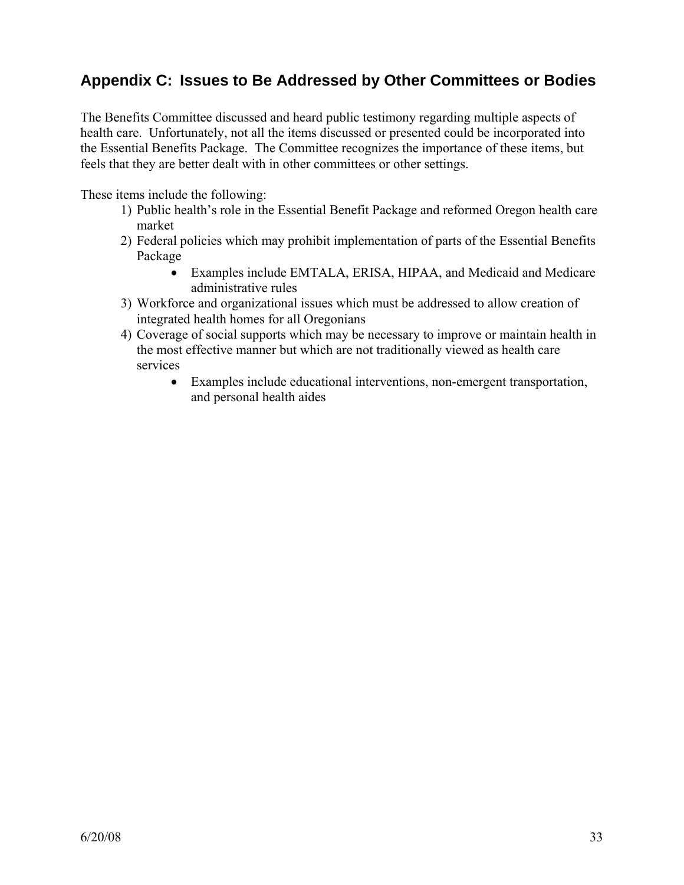### **Appendix C: Issues to Be Addressed by Other Committees or Bodies**

The Benefits Committee discussed and heard public testimony regarding multiple aspects of health care. Unfortunately, not all the items discussed or presented could be incorporated into the Essential Benefits Package. The Committee recognizes the importance of these items, but feels that they are better dealt with in other committees or other settings.

These items include the following:

- 1) Public health's role in the Essential Benefit Package and reformed Oregon health care market
- 2) Federal policies which may prohibit implementation of parts of the Essential Benefits Package
	- Examples include EMTALA, ERISA, HIPAA, and Medicaid and Medicare administrative rules
- 3) Workforce and organizational issues which must be addressed to allow creation of integrated health homes for all Oregonians
- 4) Coverage of social supports which may be necessary to improve or maintain health in the most effective manner but which are not traditionally viewed as health care services
	- Examples include educational interventions, non-emergent transportation, and personal health aides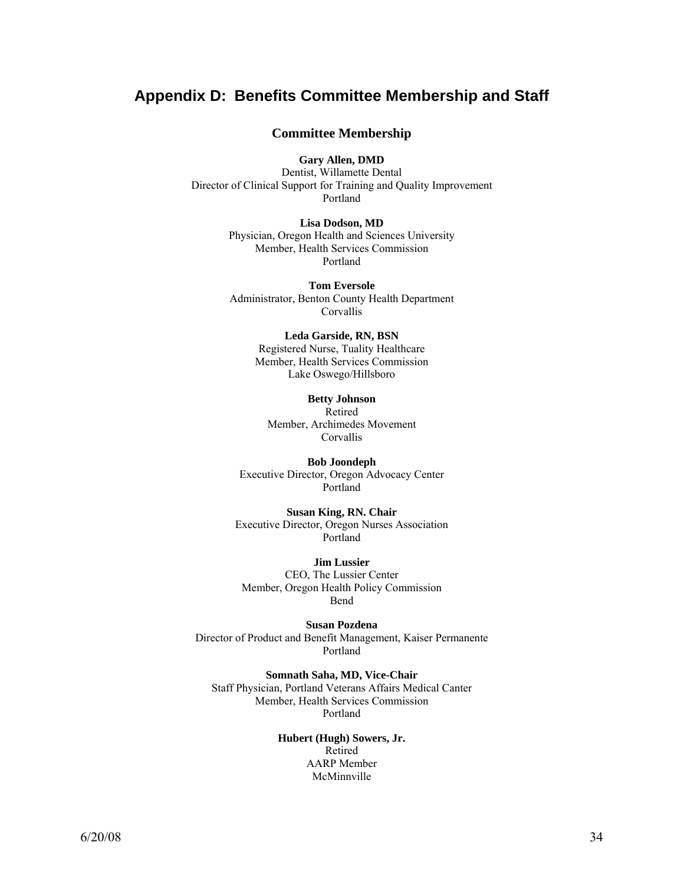### **Appendix D: Benefits Committee Membership and Staff**

#### **Committee Membership**

**Gary Allen, DMD** 

Dentist, Willamette Dental Director of Clinical Support for Training and Quality Improvement Portland

#### **Lisa Dodson, MD**

Physician, Oregon Health and Sciences University Member, Health Services Commission Portland

**Tom Eversole**  Administrator, Benton County Health Department Corvallis

#### **Leda Garside, RN, BSN**  Registered Nurse, Tuality Healthcare Member, Health Services Commission

Lake Oswego/Hillsboro

#### **Betty Johnson**

Retired Member, Archimedes Movement **Corvallis** 

**Bob Joondeph**  Executive Director, Oregon Advocacy Center Portland

**Susan King, RN. Chair** Executive Director, Oregon Nurses Association Portland

**Jim Lussier**  CEO, The Lussier Center Member, Oregon Health Policy Commission Bend

**Susan Pozdena**  Director of Product and Benefit Management, Kaiser Permanente Portland

**Somnath Saha, MD, Vice-Chair**  Staff Physician, Portland Veterans Affairs Medical Canter Member, Health Services Commission Portland

#### **Hubert (Hugh) Sowers, Jr.**  Retired AARP Member McMinnville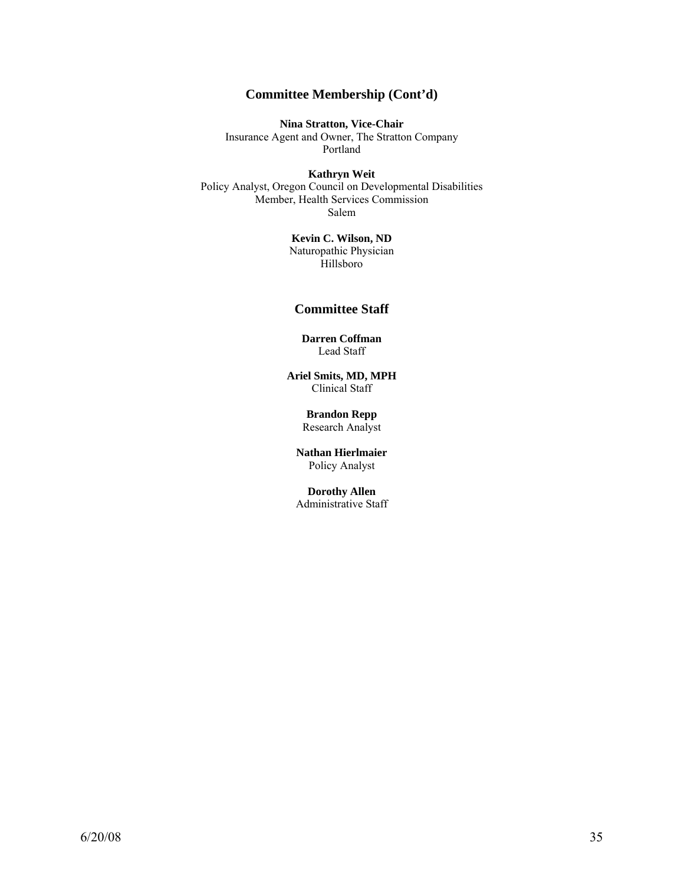### **Committee Membership (Cont'd)**

**Nina Stratton, Vice-Chair**  Insurance Agent and Owner, The Stratton Company

Portland

**Kathryn Weit** 

Policy Analyst, Oregon Council on Developmental Disabilities Member, Health Services Commission Salem

> **Kevin C. Wilson, ND**  Naturopathic Physician Hillsboro

#### **Committee Staff**

**Darren Coffman**  Lead Staff

**Ariel Smits, MD, MPH** Clinical Staff

> **Brandon Repp**  Research Analyst

**Nathan Hierlmaier** Policy Analyst

**Dorothy Allen**  Administrative Staff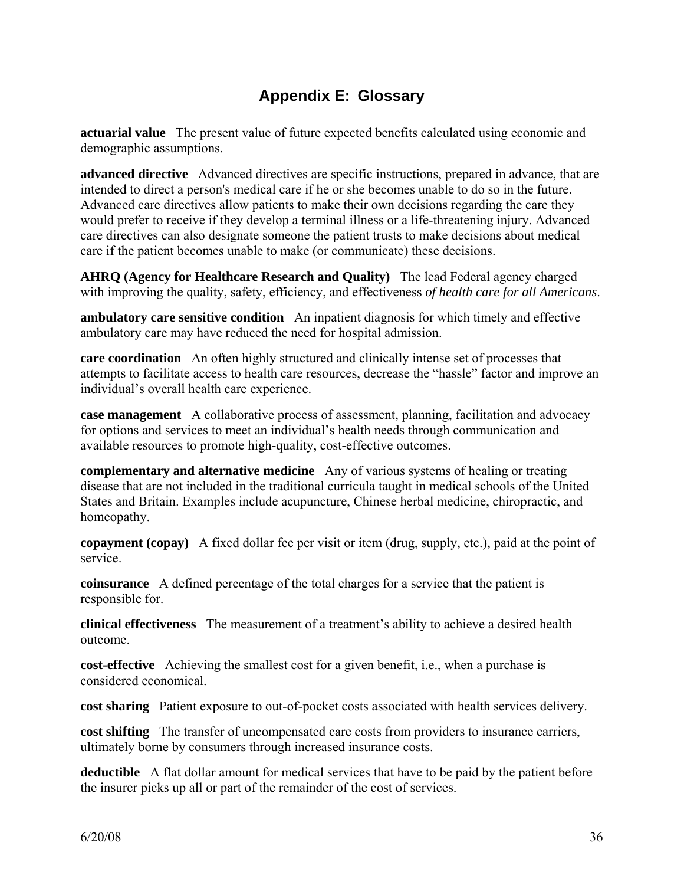## **Appendix E: Glossary**

**actuarial value** The present value of future expected benefits calculated using economic and demographic assumptions.

**advanced directive** Advanced directives are specific instructions, prepared in advance, that are intended to direct a person's medical care if he or she becomes unable to do so in the future. Advanced care directives allow patients to make their own decisions regarding the care they would prefer to receive if they develop a terminal illness or a life-threatening injury. Advanced care directives can also designate someone the patient trusts to make decisions about medical care if the patient becomes unable to make (or communicate) these decisions.

**AHRQ (Agency for Healthcare Research and Quality)** The lead Federal agency charged with improving the quality, safety, efficiency, and effectiveness *of health care for all Americans*.

**ambulatory care sensitive condition** An inpatient diagnosis for which timely and effective ambulatory care may have reduced the need for hospital admission.

**care coordination** An often highly structured and clinically intense set of processes that attempts to facilitate access to health care resources, decrease the "hassle" factor and improve an individual's overall health care experience.

**case management** A collaborative process of assessment, planning, facilitation and advocacy for options and services to meet an individual's health needs through communication and available resources to promote high-quality, cost-effective outcomes.

**complementary and alternative medicine** Any of various systems of healing or treating disease that are not included in the traditional curricula taught in medical schools of the United States and Britain. Examples include acupuncture, Chinese herbal medicine, chiropractic, and homeopathy.

**copayment (copay)** A fixed dollar fee per visit or item (drug, supply, etc.), paid at the point of service.

**coinsurance** A defined percentage of the total charges for a service that the patient is responsible for.

**clinical effectiveness** The measurement of a treatment's ability to achieve a desired health outcome.

**cost-effective** Achieving the smallest cost for a given benefit, i.e., when a purchase is considered economical.

**cost sharing** Patient exposure to out-of-pocket costs associated with health services delivery.

**cost shifting** The transfer of uncompensated care costs from providers to insurance carriers, ultimately borne by consumers through increased insurance costs.

**deductible** A flat dollar amount for medical services that have to be paid by the patient before the insurer picks up all or part of the remainder of the cost of services.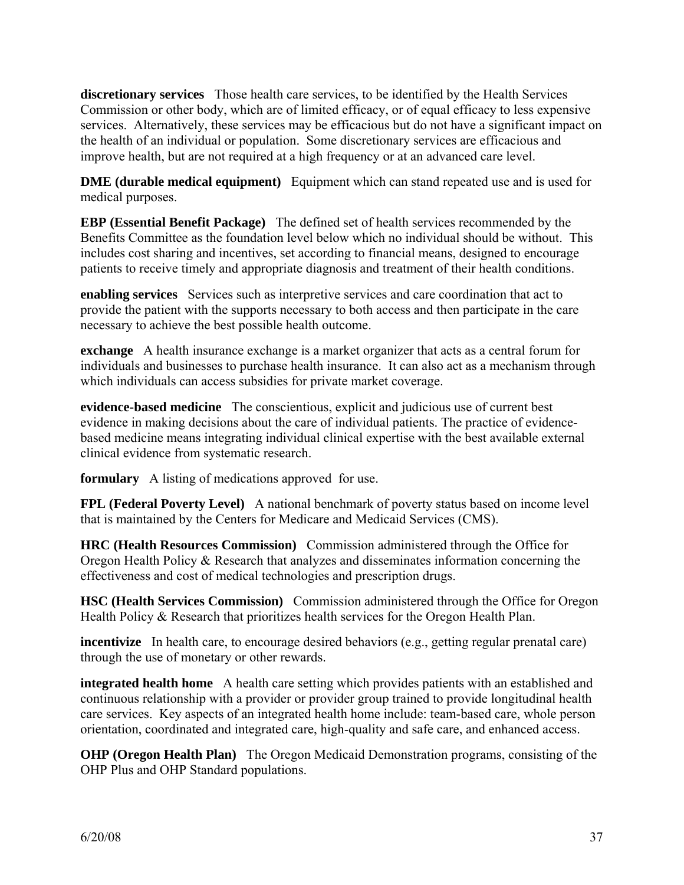**discretionary services** Those health care services, to be identified by the Health Services Commission or other body, which are of limited efficacy, or of equal efficacy to less expensive services. Alternatively, these services may be efficacious but do not have a significant impact on the health of an individual or population. Some discretionary services are efficacious and improve health, but are not required at a high frequency or at an advanced care level.

**DME (durable medical equipment)** Equipment which can stand repeated use and is used for medical purposes.

**EBP (Essential Benefit Package)** The defined set of health services recommended by the Benefits Committee as the foundation level below which no individual should be without. This includes cost sharing and incentives, set according to financial means, designed to encourage patients to receive timely and appropriate diagnosis and treatment of their health conditions.

**enabling services** Services such as interpretive services and care coordination that act to provide the patient with the supports necessary to both access and then participate in the care necessary to achieve the best possible health outcome.

**exchange** A health insurance exchange is a market organizer that acts as a central forum for individuals and businesses to purchase health insurance. It can also act as a mechanism through which individuals can access subsidies for private market coverage.

**evidence-based medicine** The conscientious, explicit and judicious use of current best evidence in making decisions about the care of individual patients. The practice of evidencebased medicine means integrating individual clinical expertise with the best available external clinical evidence from systematic research.

**formulary** A listing of medications approved for use.

**FPL (Federal Poverty Level)** A national benchmark of poverty status based on income level that is maintained by the Centers for Medicare and Medicaid Services (CMS).

**HRC (Health Resources Commission)** Commission administered through the Office for Oregon Health Policy & Research that analyzes and disseminates information concerning the effectiveness and cost of medical technologies and prescription drugs.

**HSC (Health Services Commission)** Commission administered through the Office for Oregon Health Policy & Research that prioritizes health services for the Oregon Health Plan.

**incentivize** In health care, to encourage desired behaviors (e.g., getting regular prenatal care) through the use of monetary or other rewards.

**integrated health home** A health care setting which provides patients with an established and continuous relationship with a provider or provider group trained to provide longitudinal health care services. Key aspects of an integrated health home include: team-based care, whole person orientation, coordinated and integrated care, high-quality and safe care, and enhanced access.

**OHP (Oregon Health Plan)** The Oregon Medicaid Demonstration programs, consisting of the OHP Plus and OHP Standard populations.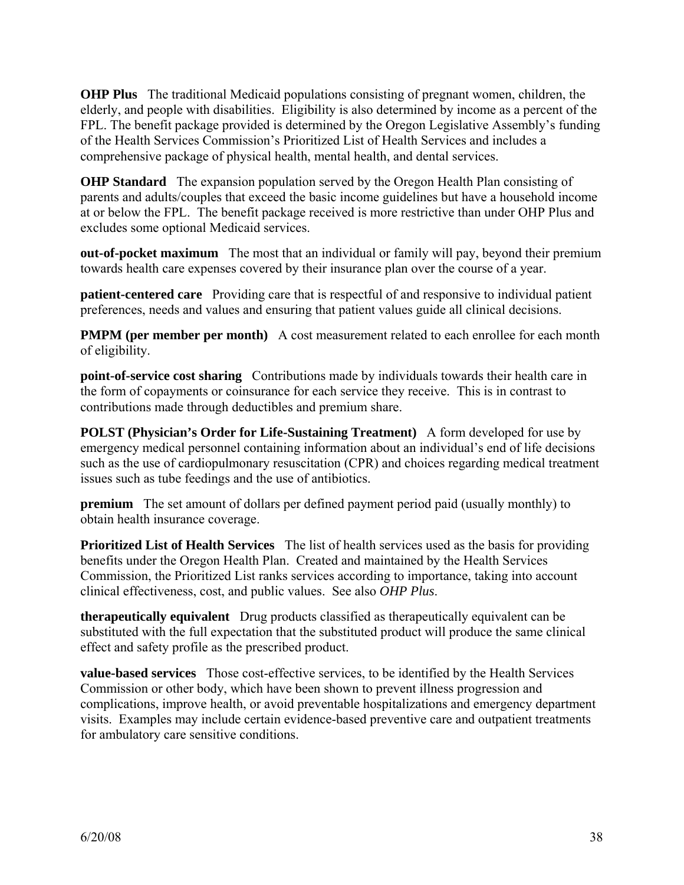**OHP Plus** The traditional Medicaid populations consisting of pregnant women, children, the elderly, and people with disabilities. Eligibility is also determined by income as a percent of the FPL. The benefit package provided is determined by the Oregon Legislative Assembly's funding of the Health Services Commission's Prioritized List of Health Services and includes a comprehensive package of physical health, mental health, and dental services.

**OHP Standard** The expansion population served by the Oregon Health Plan consisting of parents and adults/couples that exceed the basic income guidelines but have a household income at or below the FPL. The benefit package received is more restrictive than under OHP Plus and excludes some optional Medicaid services.

**out-of-pocket maximum** The most that an individual or family will pay, beyond their premium towards health care expenses covered by their insurance plan over the course of a year.

**patient-centered care** Providing care that is respectful of and responsive to individual patient preferences, needs and values and ensuring that patient values guide all clinical decisions.

**PMPM (per member per month)** A cost measurement related to each enrollee for each month of eligibility.

**point-of-service cost sharing** Contributions made by individuals towards their health care in the form of copayments or coinsurance for each service they receive. This is in contrast to contributions made through deductibles and premium share.

**POLST (Physician's Order for Life-Sustaining Treatment)** A form developed for use by emergency medical personnel containing information about an individual's end of life decisions such as the use of cardiopulmonary resuscitation (CPR) and choices regarding medical treatment issues such as tube feedings and the use of antibiotics.

**premium** The set amount of dollars per defined payment period paid (usually monthly) to obtain health insurance coverage.

**Prioritized List of Health Services** The list of health services used as the basis for providing benefits under the Oregon Health Plan. Created and maintained by the Health Services Commission, the Prioritized List ranks services according to importance, taking into account clinical effectiveness, cost, and public values. See also *OHP Plus*.

**therapeutically equivalent** Drug products classified as therapeutically equivalent can be substituted with the full expectation that the substituted product will produce the same clinical effect and safety profile as the prescribed product.

**value-based services** Those cost-effective services, to be identified by the Health Services Commission or other body, which have been shown to prevent illness progression and complications, improve health, or avoid preventable hospitalizations and emergency department visits. Examples may include certain evidence-based preventive care and outpatient treatments for ambulatory care sensitive conditions.